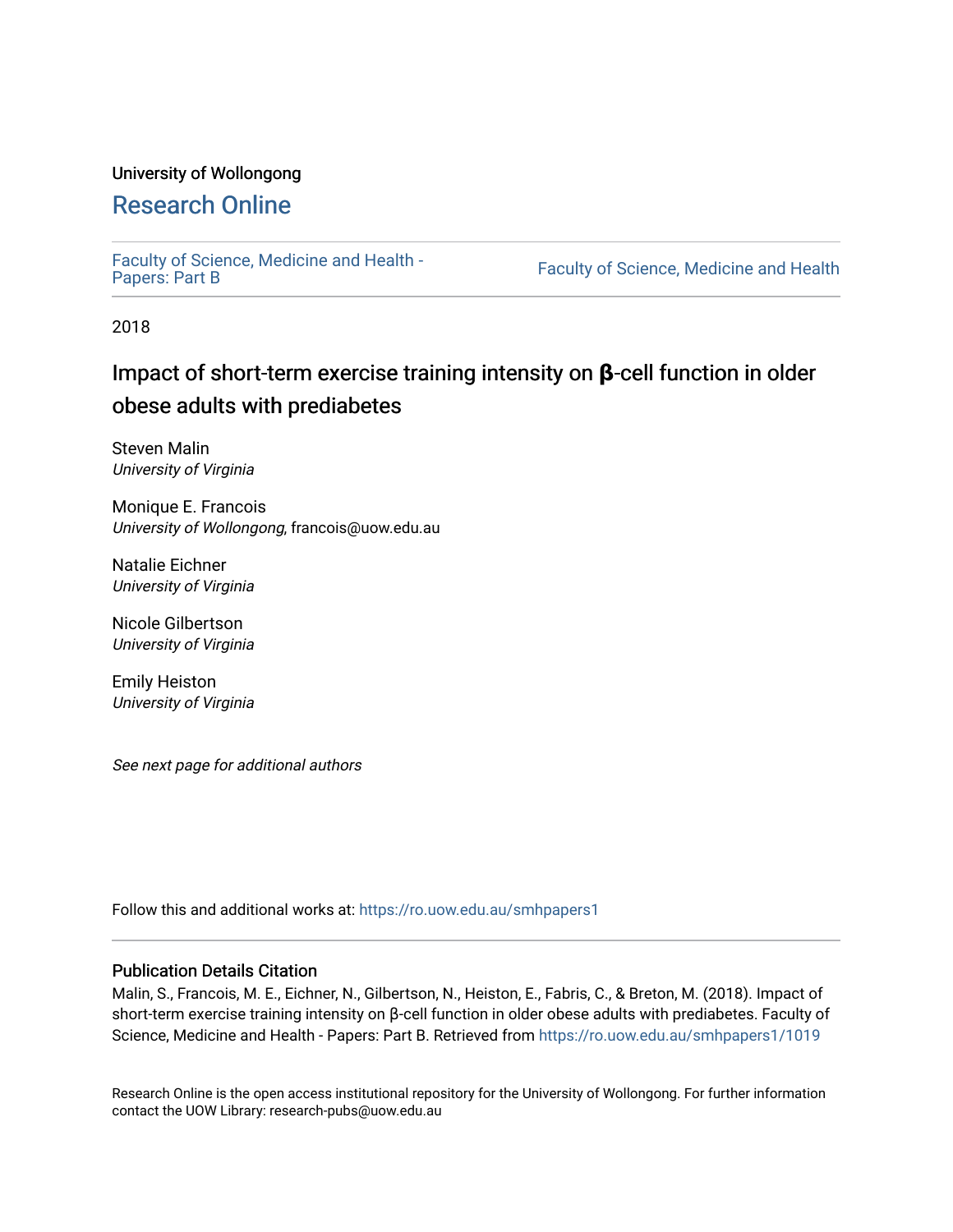#### University of Wollongong

## [Research Online](https://ro.uow.edu.au/)

[Faculty of Science, Medicine and Health -](https://ro.uow.edu.au/smhpapers1) Papers: Part B

Faculty of Science, Medicine and Health

2018

# Impact of short-term exercise training intensity on **β**-cell function in older obese adults with prediabetes

Steven Malin University of Virginia

Monique E. Francois University of Wollongong, francois@uow.edu.au

Natalie Eichner University of Virginia

Nicole Gilbertson University of Virginia

Emily Heiston University of Virginia

See next page for additional authors

Follow this and additional works at: [https://ro.uow.edu.au/smhpapers1](https://ro.uow.edu.au/smhpapers1?utm_source=ro.uow.edu.au%2Fsmhpapers1%2F1019&utm_medium=PDF&utm_campaign=PDFCoverPages)

#### Publication Details Citation

Malin, S., Francois, M. E., Eichner, N., Gilbertson, N., Heiston, E., Fabris, C., & Breton, M. (2018). Impact of short-term exercise training intensity on β-cell function in older obese adults with prediabetes. Faculty of Science, Medicine and Health - Papers: Part B. Retrieved from [https://ro.uow.edu.au/smhpapers1/1019](https://ro.uow.edu.au/smhpapers1/1019?utm_source=ro.uow.edu.au%2Fsmhpapers1%2F1019&utm_medium=PDF&utm_campaign=PDFCoverPages)

Research Online is the open access institutional repository for the University of Wollongong. For further information contact the UOW Library: research-pubs@uow.edu.au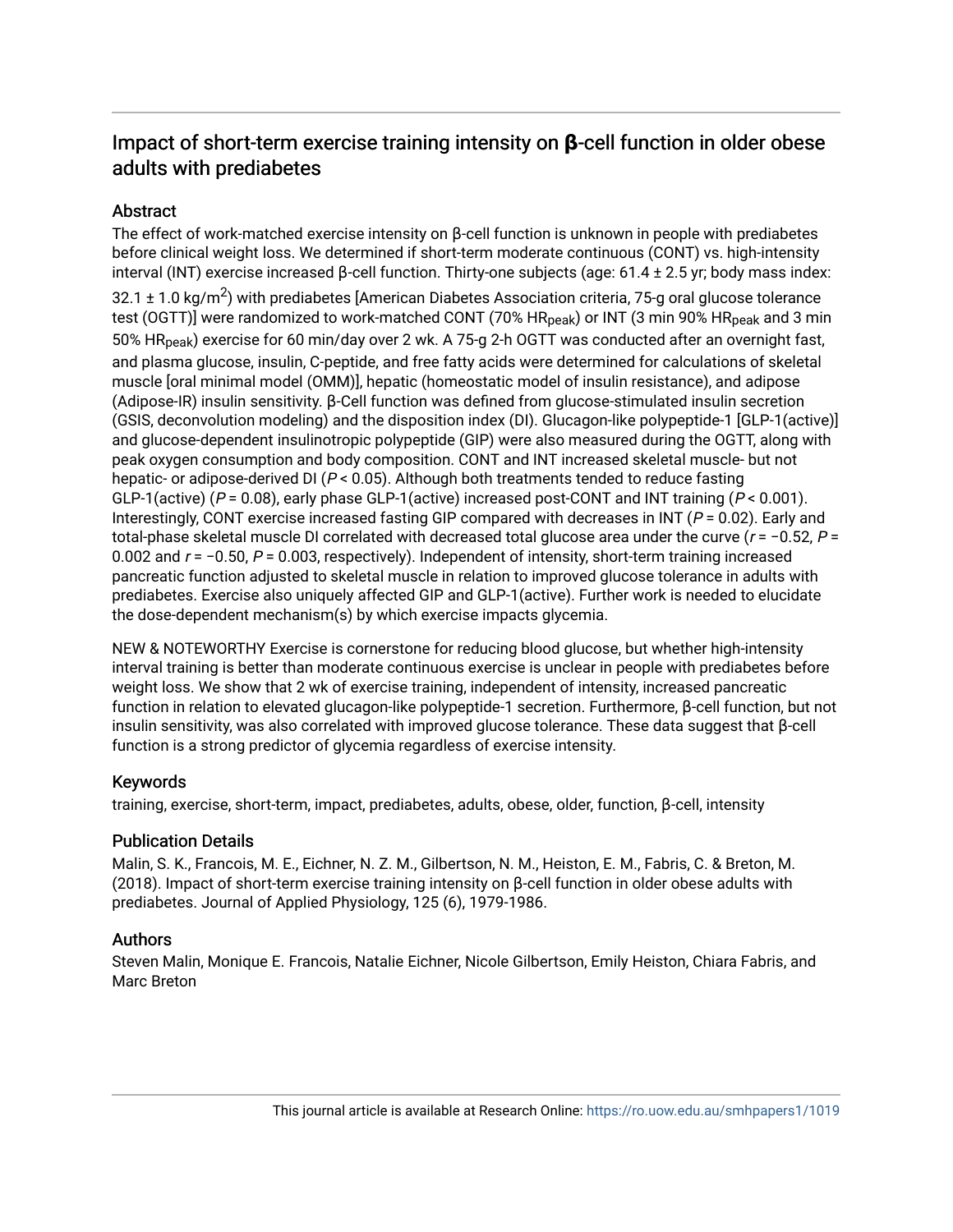## Impact of short-term exercise training intensity on **β**-cell function in older obese adults with prediabetes

## **Abstract**

The effect of work-matched exercise intensity on β-cell function is unknown in people with prediabetes before clinical weight loss. We determined if short-term moderate continuous (CONT) vs. high-intensity interval (INT) exercise increased β-cell function. Thirty-one subjects (age: 61.4 ± 2.5 yr; body mass index: 32.1 ± 1.0 kg/m $^2$ ) with prediabetes [American Diabetes Association criteria, 75-g oral glucose tolerance test (OGTT)] were randomized to work-matched CONT (70% HR<sub>peak</sub>) or INT (3 min 90% HR<sub>peak</sub> and 3 min 50% HRpeak) exercise for 60 min/day over 2 wk. A 75-g 2-h OGTT was conducted after an overnight fast, and plasma glucose, insulin, C-peptide, and free fatty acids were determined for calculations of skeletal muscle [oral minimal model (OMM)], hepatic (homeostatic model of insulin resistance), and adipose (Adipose-IR) insulin sensitivity. β-Cell function was defined from glucose-stimulated insulin secretion (GSIS, deconvolution modeling) and the disposition index (DI). Glucagon-like polypeptide-1 [GLP-1(active)] and glucose-dependent insulinotropic polypeptide (GIP) were also measured during the OGTT, along with peak oxygen consumption and body composition. CONT and INT increased skeletal muscle- but not hepatic- or adipose-derived DI ( $P < 0.05$ ). Although both treatments tended to reduce fasting GLP-1(active) ( $P = 0.08$ ), early phase GLP-1(active) increased post-CONT and INT training ( $P < 0.001$ ). Interestingly, CONT exercise increased fasting GIP compared with decreases in INT ( $P = 0.02$ ). Early and total-phase skeletal muscle DI correlated with decreased total glucose area under the curve ( $r = -0.52$ ,  $P =$ 0.002 and <sup>r</sup> = −0.50, P = 0.003, respectively). Independent of intensity, short-term training increased pancreatic function adjusted to skeletal muscle in relation to improved glucose tolerance in adults with prediabetes. Exercise also uniquely affected GIP and GLP-1(active). Further work is needed to elucidate the dose-dependent mechanism(s) by which exercise impacts glycemia.

NEW & NOTEWORTHY Exercise is cornerstone for reducing blood glucose, but whether high-intensity interval training is better than moderate continuous exercise is unclear in people with prediabetes before weight loss. We show that 2 wk of exercise training, independent of intensity, increased pancreatic function in relation to elevated glucagon-like polypeptide-1 secretion. Furthermore, β-cell function, but not insulin sensitivity, was also correlated with improved glucose tolerance. These data suggest that β-cell function is a strong predictor of glycemia regardless of exercise intensity.

## Keywords

training, exercise, short-term, impact, prediabetes, adults, obese, older, function, β-cell, intensity

## Publication Details

Malin, S. K., Francois, M. E., Eichner, N. Z. M., Gilbertson, N. M., Heiston, E. M., Fabris, C. & Breton, M. (2018). Impact of short-term exercise training intensity on β-cell function in older obese adults with prediabetes. Journal of Applied Physiology, 125 (6), 1979-1986.

## Authors

Steven Malin, Monique E. Francois, Natalie Eichner, Nicole Gilbertson, Emily Heiston, Chiara Fabris, and Marc Breton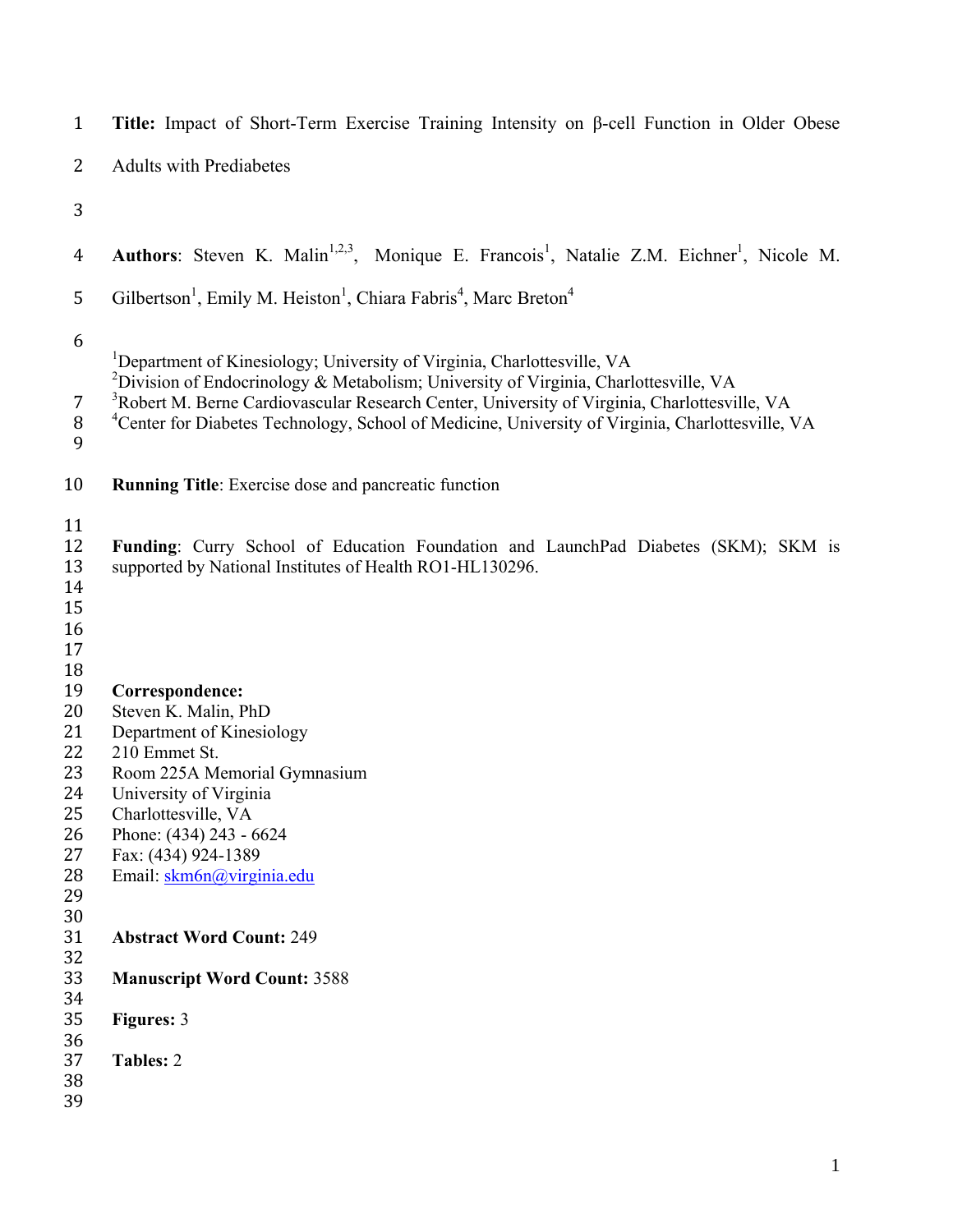| $\mathbf{1}$                                                               | Title: Impact of Short-Term Exercise Training Intensity on $\beta$ -cell Function in Older Obese                                                                                                                                                                                                                             |
|----------------------------------------------------------------------------|------------------------------------------------------------------------------------------------------------------------------------------------------------------------------------------------------------------------------------------------------------------------------------------------------------------------------|
| 2                                                                          | <b>Adults with Prediabetes</b>                                                                                                                                                                                                                                                                                               |
| 3                                                                          |                                                                                                                                                                                                                                                                                                                              |
| $\overline{4}$                                                             | Authors: Steven K. Malin <sup>1,2,3</sup> , Monique E. Francois <sup>1</sup> , Natalie Z.M. Eichner <sup>1</sup> , Nicole M.                                                                                                                                                                                                 |
| 5                                                                          | Gilbertson <sup>1</sup> , Emily M. Heiston <sup>1</sup> , Chiara Fabris <sup>4</sup> , Marc Breton <sup>4</sup>                                                                                                                                                                                                              |
| 6                                                                          | <sup>1</sup> Department of Kinesiology; University of Virginia, Charlottesville, VA                                                                                                                                                                                                                                          |
| 7<br>$\, 8$<br>9                                                           | <sup>2</sup> Division of Endocrinology & Metabolism; University of Virginia, Charlottesville, VA<br><sup>3</sup> Robert M. Berne Cardiovascular Research Center, University of Virginia, Charlottesville, VA<br><sup>4</sup> Center for Diabetes Technology, School of Medicine, University of Virginia, Charlottesville, VA |
| 10                                                                         | <b>Running Title:</b> Exercise dose and pancreatic function                                                                                                                                                                                                                                                                  |
| 11<br>12<br>13<br>14<br>15<br>16<br>17                                     | Funding: Curry School of Education Foundation and LaunchPad Diabetes (SKM); SKM is<br>supported by National Institutes of Health RO1-HL130296.                                                                                                                                                                               |
| 18<br>19<br>20<br>21<br>22<br>23<br>24<br>25<br>26<br>27<br>28<br>29<br>30 | Correspondence:<br>Steven K. Malin, PhD<br>Department of Kinesiology<br>210 Emmet St.<br>Room 225A Memorial Gymnasium<br>University of Virginia<br>Charlottesville, VA<br>Phone: (434) 243 - 6624<br>Fax: (434) 924-1389<br>Email: skm6n@virginia.edu                                                                        |
| 31<br>32                                                                   | <b>Abstract Word Count: 249</b>                                                                                                                                                                                                                                                                                              |
| 33<br>34                                                                   | <b>Manuscript Word Count: 3588</b>                                                                                                                                                                                                                                                                                           |
| 35<br>36                                                                   | <b>Figures: 3</b>                                                                                                                                                                                                                                                                                                            |
| 37<br>38<br>39                                                             | <b>Tables: 2</b>                                                                                                                                                                                                                                                                                                             |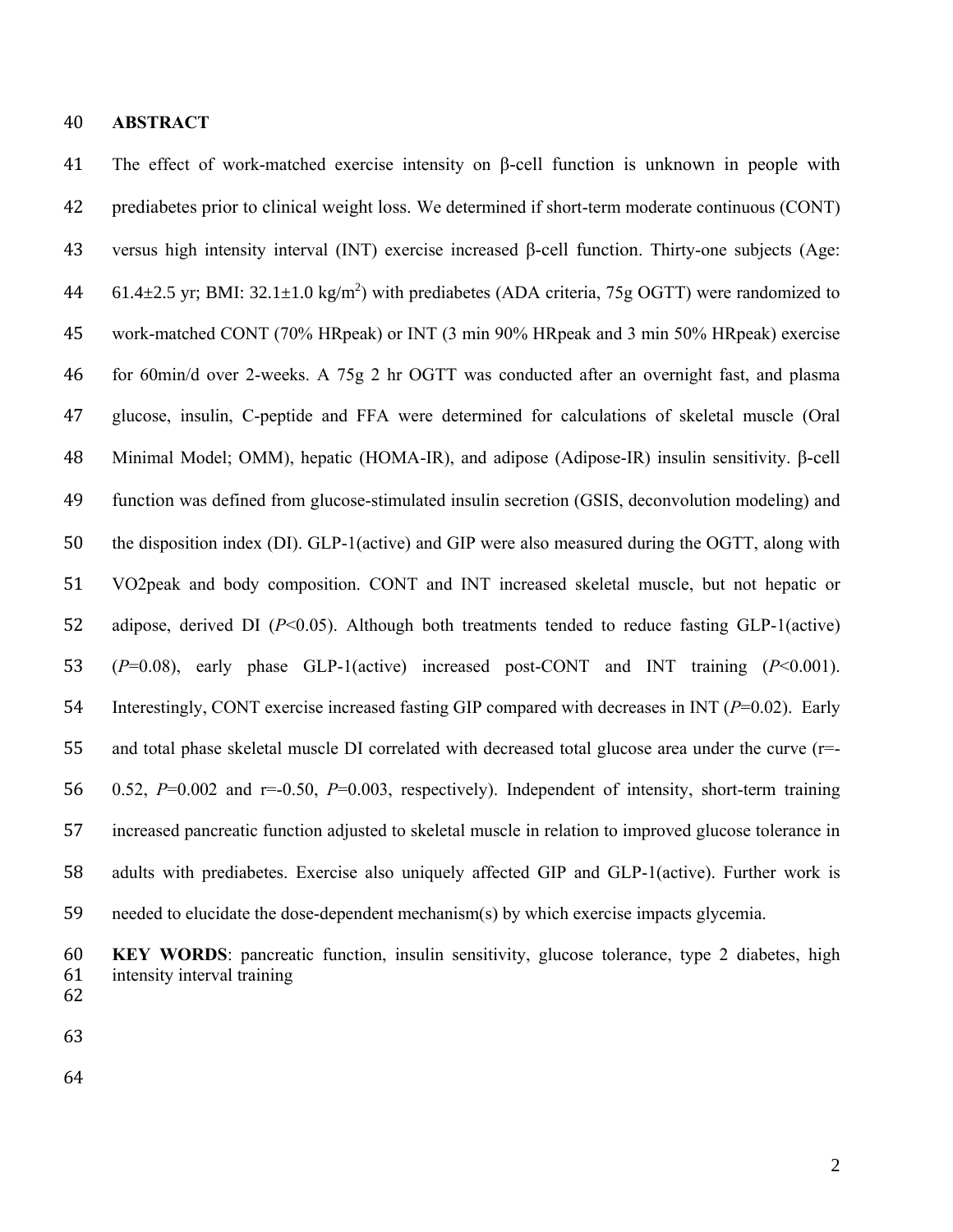#### **ABSTRACT**

 The effect of work-matched exercise intensity on β-cell function is unknown in people with prediabetes prior to clinical weight loss. We determined if short-term moderate continuous (CONT) versus high intensity interval (INT) exercise increased β-cell function. Thirty-one subjects (Age: 44 61.4 $\pm$ 2.5 yr; BMI: 32.1 $\pm$ 1.0 kg/m<sup>2</sup>) with prediabetes (ADA criteria, 75g OGTT) were randomized to work-matched CONT (70% HRpeak) or INT (3 min 90% HRpeak and 3 min 50% HRpeak) exercise for 60min/d over 2-weeks. A 75g 2 hr OGTT was conducted after an overnight fast, and plasma glucose, insulin, C-peptide and FFA were determined for calculations of skeletal muscle (Oral Minimal Model; OMM), hepatic (HOMA-IR), and adipose (Adipose-IR) insulin sensitivity. β-cell function was defined from glucose-stimulated insulin secretion (GSIS, deconvolution modeling) and the disposition index (DI). GLP-1(active) and GIP were also measured during the OGTT, along with VO2peak and body composition. CONT and INT increased skeletal muscle, but not hepatic or adipose, derived DI (*P*<0.05). Although both treatments tended to reduce fasting GLP-1(active) (*P*=0.08), early phase GLP-1(active) increased post-CONT and INT training (*P*<0.001). Interestingly, CONT exercise increased fasting GIP compared with decreases in INT (*P*=0.02). Early and total phase skeletal muscle DI correlated with decreased total glucose area under the curve (r=- 0.52, *P*=0.002 and r=-0.50, *P*=0.003, respectively). Independent of intensity, short-term training increased pancreatic function adjusted to skeletal muscle in relation to improved glucose tolerance in adults with prediabetes. Exercise also uniquely affected GIP and GLP-1(active). Further work is needed to elucidate the dose-dependent mechanism(s) by which exercise impacts glycemia.

 **KEY WORDS**: pancreatic function, insulin sensitivity, glucose tolerance, type 2 diabetes, high intensity interval training 

- 
-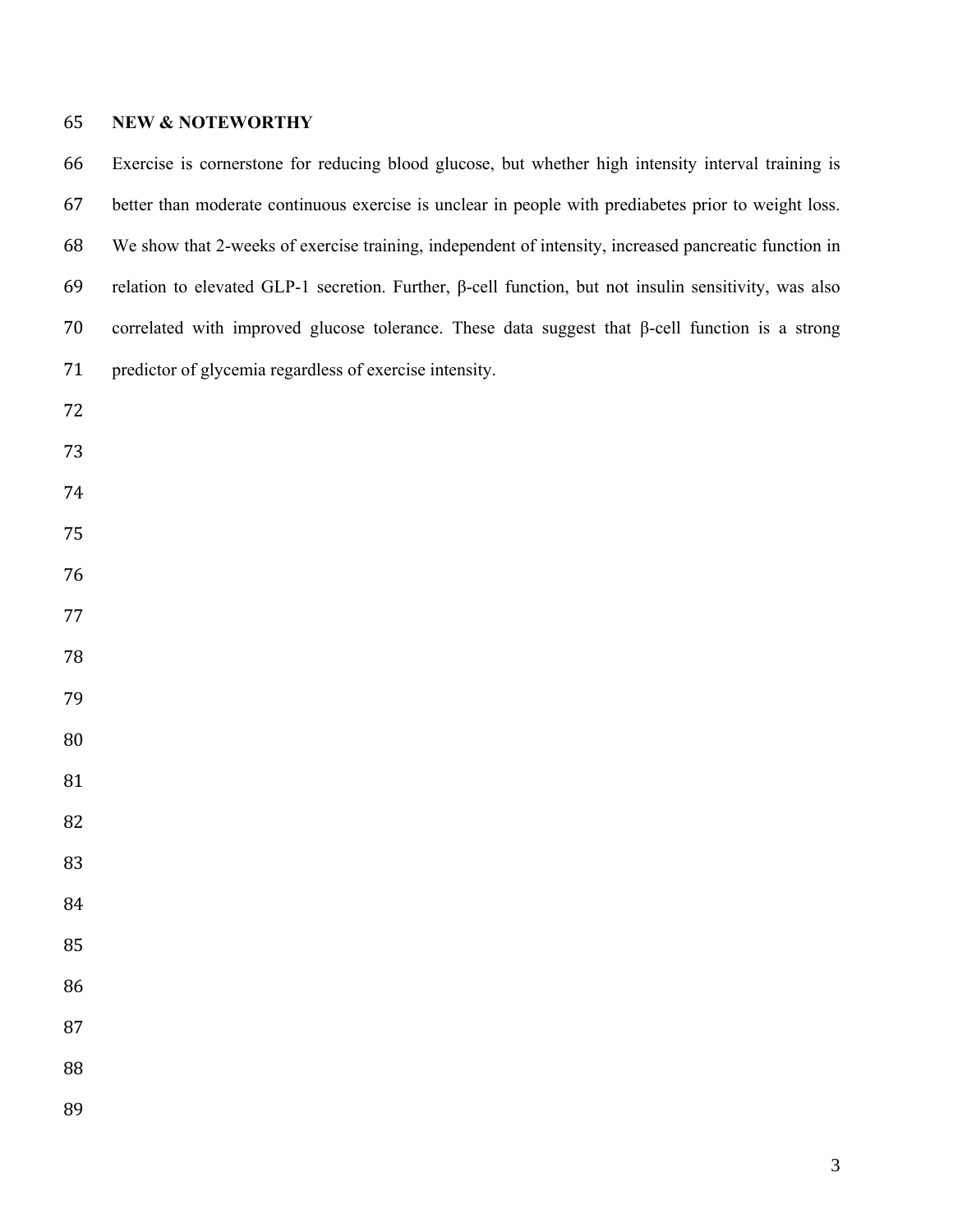### **NEW & NOTEWORTHY**

 Exercise is cornerstone for reducing blood glucose, but whether high intensity interval training is better than moderate continuous exercise is unclear in people with prediabetes prior to weight loss. We show that 2-weeks of exercise training, independent of intensity, increased pancreatic function in relation to elevated GLP-1 secretion. Further, β-cell function, but not insulin sensitivity, was also correlated with improved glucose tolerance. These data suggest that β-cell function is a strong predictor of glycemia regardless of exercise intensity.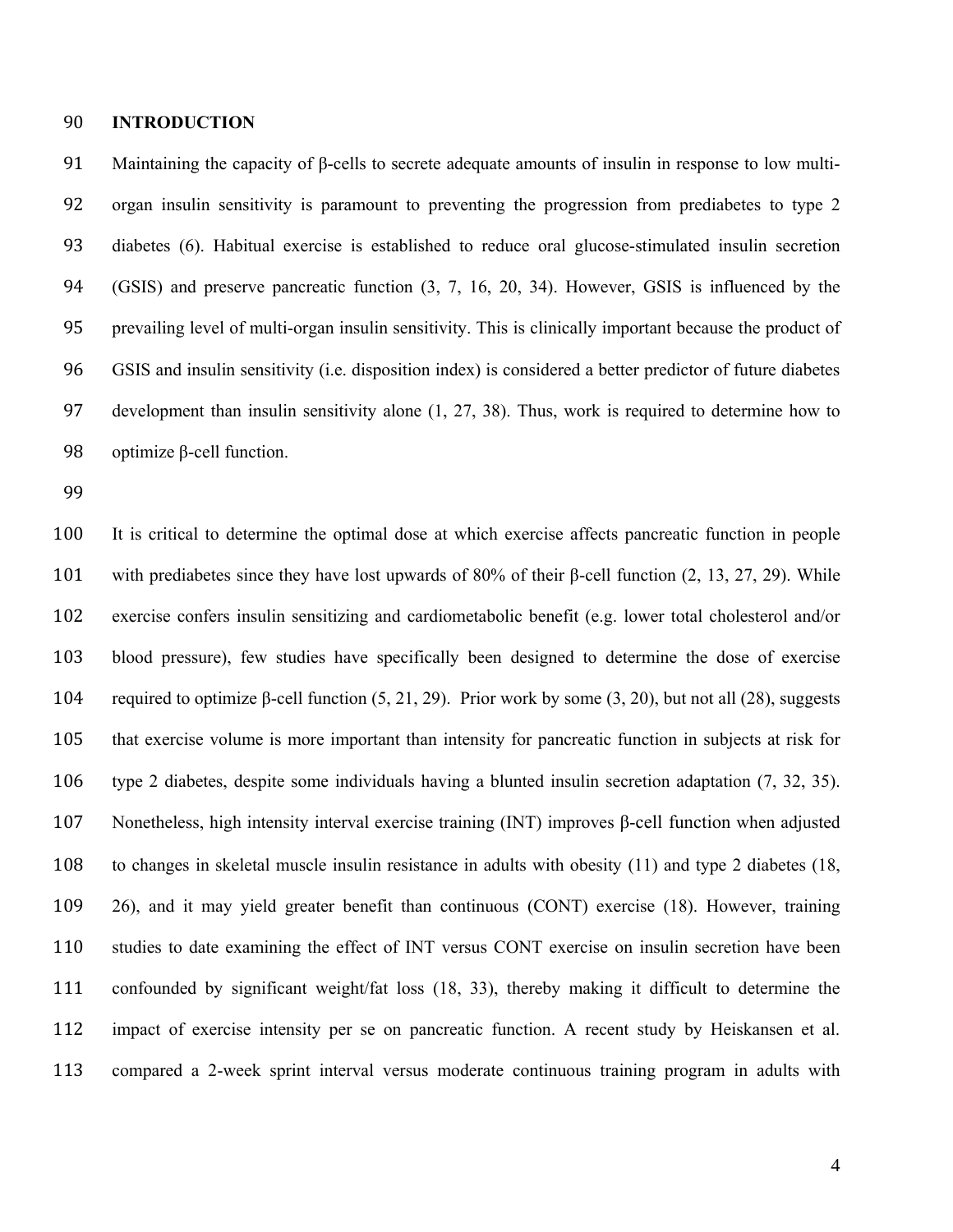#### **INTRODUCTION**

 Maintaining the capacity of β-cells to secrete adequate amounts of insulin in response to low multi- organ insulin sensitivity is paramount to preventing the progression from prediabetes to type 2 diabetes (6). Habitual exercise is established to reduce oral glucose-stimulated insulin secretion (GSIS) and preserve pancreatic function (3, 7, 16, 20, 34). However, GSIS is influenced by the prevailing level of multi-organ insulin sensitivity. This is clinically important because the product of GSIS and insulin sensitivity (i.e. disposition index) is considered a better predictor of future diabetes development than insulin sensitivity alone (1, 27, 38). Thus, work is required to determine how to optimize β-cell function.

 It is critical to determine the optimal dose at which exercise affects pancreatic function in people with prediabetes since they have lost upwards of 80% of their β-cell function (2, 13, 27, 29). While exercise confers insulin sensitizing and cardiometabolic benefit (e.g. lower total cholesterol and/or blood pressure), few studies have specifically been designed to determine the dose of exercise 104 required to optimize  $\beta$ -cell function (5, 21, 29). Prior work by some (3, 20), but not all (28), suggests that exercise volume is more important than intensity for pancreatic function in subjects at risk for type 2 diabetes, despite some individuals having a blunted insulin secretion adaptation (7, 32, 35). Nonetheless, high intensity interval exercise training (INT) improves β-cell function when adjusted to changes in skeletal muscle insulin resistance in adults with obesity (11) and type 2 diabetes (18, 26), and it may yield greater benefit than continuous (CONT) exercise (18). However, training studies to date examining the effect of INT versus CONT exercise on insulin secretion have been confounded by significant weight/fat loss (18, 33), thereby making it difficult to determine the impact of exercise intensity per se on pancreatic function. A recent study by Heiskansen et al. compared a 2-week sprint interval versus moderate continuous training program in adults with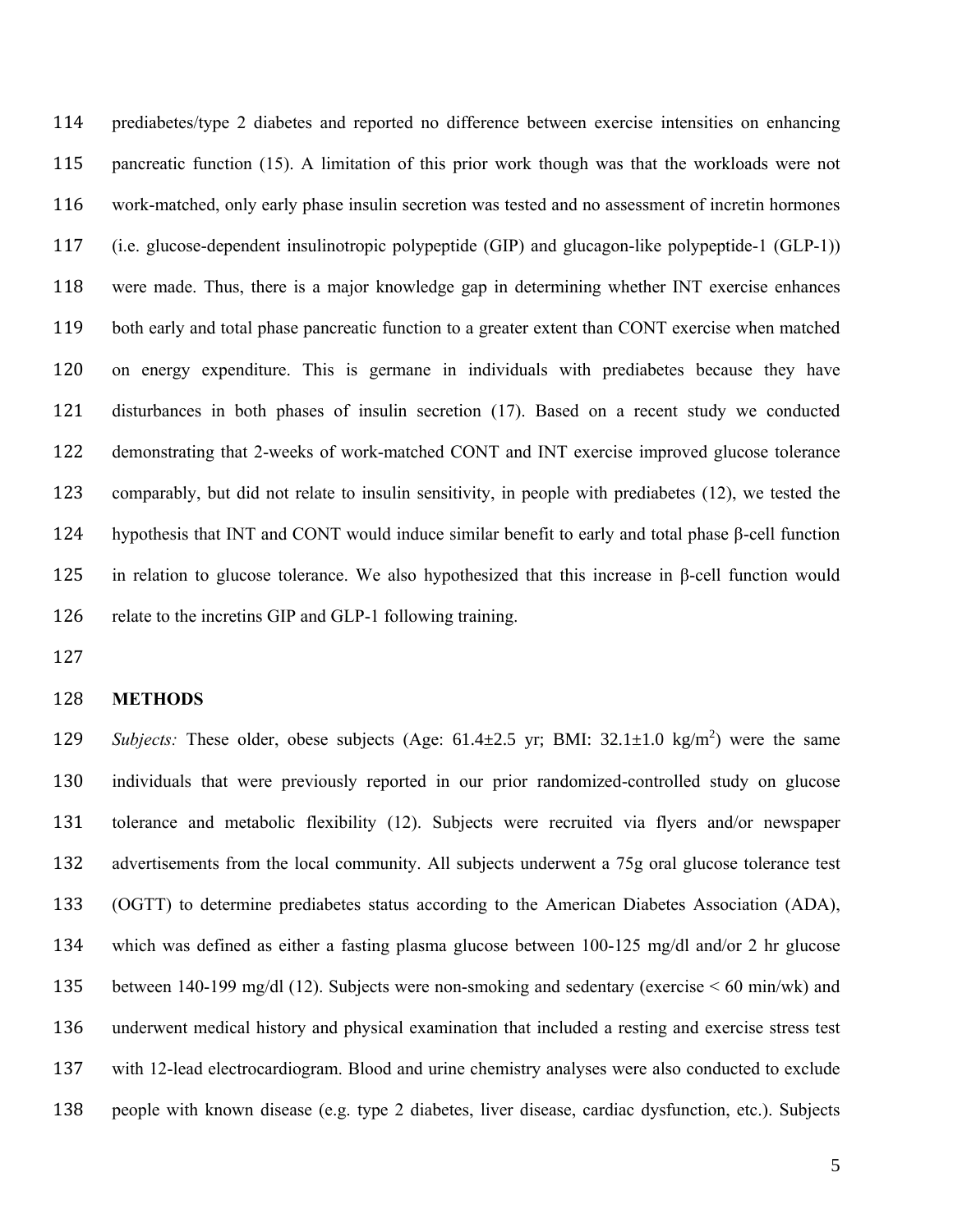prediabetes/type 2 diabetes and reported no difference between exercise intensities on enhancing pancreatic function (15). A limitation of this prior work though was that the workloads were not work-matched, only early phase insulin secretion was tested and no assessment of incretin hormones (i.e. glucose-dependent insulinotropic polypeptide (GIP) and glucagon-like polypeptide-1 (GLP-1)) were made. Thus, there is a major knowledge gap in determining whether INT exercise enhances both early and total phase pancreatic function to a greater extent than CONT exercise when matched on energy expenditure. This is germane in individuals with prediabetes because they have disturbances in both phases of insulin secretion (17). Based on a recent study we conducted demonstrating that 2-weeks of work-matched CONT and INT exercise improved glucose tolerance comparably, but did not relate to insulin sensitivity, in people with prediabetes (12), we tested the hypothesis that INT and CONT would induce similar benefit to early and total phase β-cell function in relation to glucose tolerance. We also hypothesized that this increase in β-cell function would 126 relate to the incretins GIP and GLP-1 following training.

#### **METHODS**

*Subjects:* These older, obese subjects (Age:  $61.4\pm 2.5$  yr; BMI:  $32.1\pm 1.0$  kg/m<sup>2</sup>) were the same individuals that were previously reported in our prior randomized-controlled study on glucose tolerance and metabolic flexibility (12). Subjects were recruited via flyers and/or newspaper advertisements from the local community. All subjects underwent a 75g oral glucose tolerance test (OGTT) to determine prediabetes status according to the American Diabetes Association (ADA), which was defined as either a fasting plasma glucose between 100-125 mg/dl and/or 2 hr glucose between 140-199 mg/dl (12). Subjects were non-smoking and sedentary (exercise < 60 min/wk) and underwent medical history and physical examination that included a resting and exercise stress test with 12-lead electrocardiogram. Blood and urine chemistry analyses were also conducted to exclude people with known disease (e.g. type 2 diabetes, liver disease, cardiac dysfunction, etc.). Subjects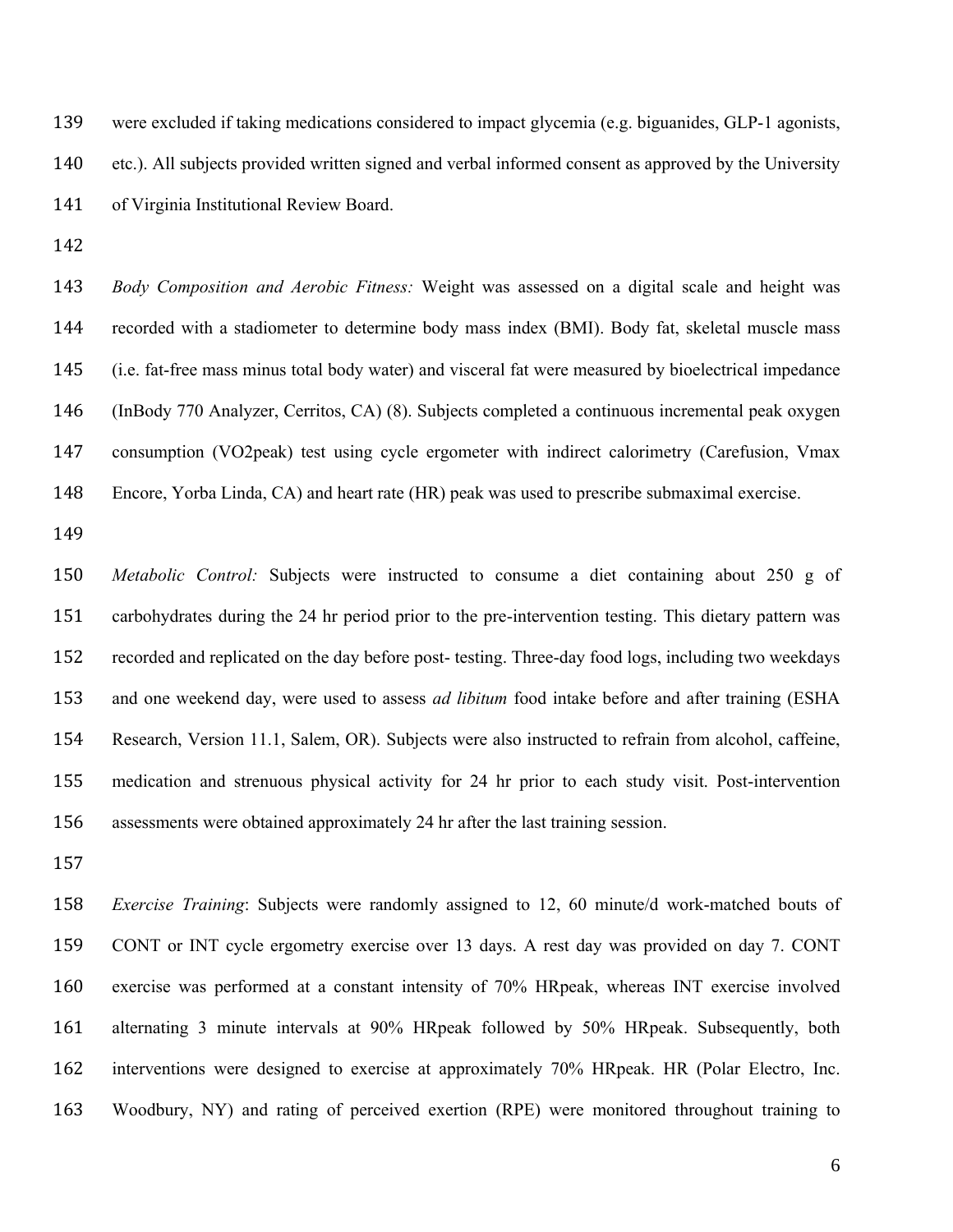were excluded if taking medications considered to impact glycemia (e.g. biguanides, GLP-1 agonists, etc.). All subjects provided written signed and verbal informed consent as approved by the University of Virginia Institutional Review Board.

 *Body Composition and Aerobic Fitness:* Weight was assessed on a digital scale and height was recorded with a stadiometer to determine body mass index (BMI). Body fat, skeletal muscle mass (i.e. fat-free mass minus total body water) and visceral fat were measured by bioelectrical impedance (InBody 770 Analyzer, Cerritos, CA) (8). Subjects completed a continuous incremental peak oxygen consumption (VO2peak) test using cycle ergometer with indirect calorimetry (Carefusion, Vmax Encore, Yorba Linda, CA) and heart rate (HR) peak was used to prescribe submaximal exercise.

 *Metabolic Control:* Subjects were instructed to consume a diet containing about 250 g of carbohydrates during the 24 hr period prior to the pre-intervention testing. This dietary pattern was recorded and replicated on the day before post- testing. Three-day food logs, including two weekdays and one weekend day, were used to assess *ad libitum* food intake before and after training (ESHA Research, Version 11.1, Salem, OR). Subjects were also instructed to refrain from alcohol, caffeine, medication and strenuous physical activity for 24 hr prior to each study visit. Post-intervention assessments were obtained approximately 24 hr after the last training session.

 *Exercise Training*: Subjects were randomly assigned to 12, 60 minute/d work-matched bouts of CONT or INT cycle ergometry exercise over 13 days. A rest day was provided on day 7. CONT exercise was performed at a constant intensity of 70% HRpeak, whereas INT exercise involved alternating 3 minute intervals at 90% HRpeak followed by 50% HRpeak. Subsequently, both interventions were designed to exercise at approximately 70% HRpeak. HR (Polar Electro, Inc. Woodbury, NY) and rating of perceived exertion (RPE) were monitored throughout training to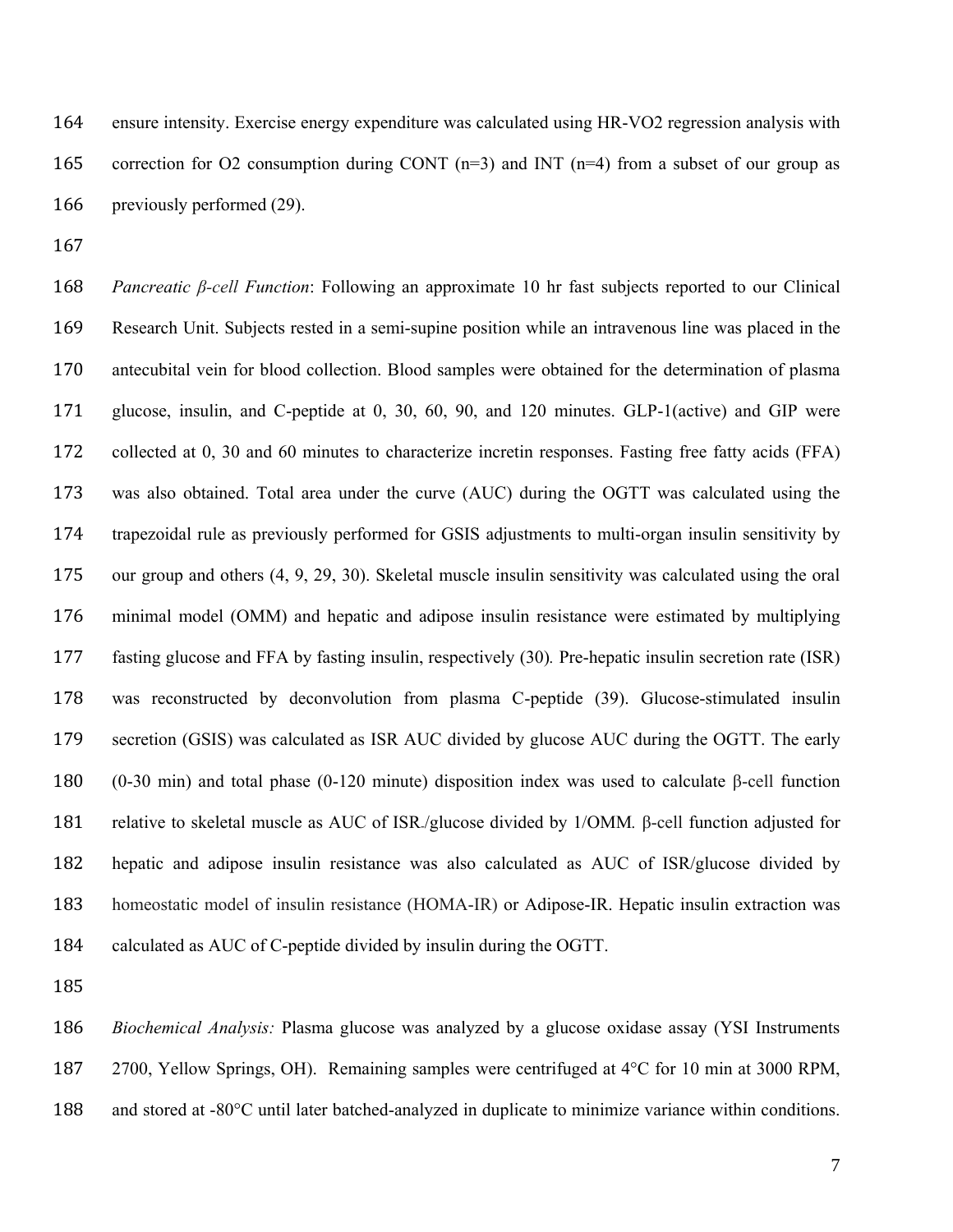ensure intensity. Exercise energy expenditure was calculated using HR-VO2 regression analysis with correction for O2 consumption during CONT (n=3) and INT (n=4) from a subset of our group as previously performed (29).

 *Pancreatic β-cell Function*: Following an approximate 10 hr fast subjects reported to our Clinical Research Unit. Subjects rested in a semi-supine position while an intravenous line was placed in the antecubital vein for blood collection. Blood samples were obtained for the determination of plasma glucose, insulin, and C-peptide at 0, 30, 60, 90, and 120 minutes. GLP-1(active) and GIP were collected at 0, 30 and 60 minutes to characterize incretin responses. Fasting free fatty acids (FFA) was also obtained. Total area under the curve (AUC) during the OGTT was calculated using the trapezoidal rule as previously performed for GSIS adjustments to multi-organ insulin sensitivity by our group and others (4, 9, 29, 30). Skeletal muscle insulin sensitivity was calculated using the oral minimal model (OMM) and hepatic and adipose insulin resistance were estimated by multiplying fasting glucose and FFA by fasting insulin, respectively (30)*.* Pre-hepatic insulin secretion rate (ISR) was reconstructed by deconvolution from plasma C-peptide (39). Glucose-stimulated insulin secretion (GSIS) was calculated as ISR AUC divided by glucose AUC during the OGTT. The early (0-30 min) and total phase (0-120 minute) disposition index was used to calculate β-cell function relative to skeletal muscle as AUC of ISR-/glucose divided by 1/OMM*.* β-cell function adjusted for hepatic and adipose insulin resistance was also calculated as AUC of ISR/glucose divided by homeostatic model of insulin resistance (HOMA-IR) or Adipose-IR. Hepatic insulin extraction was calculated as AUC of C-peptide divided by insulin during the OGTT.

 *Biochemical Analysis:* Plasma glucose was analyzed by a glucose oxidase assay (YSI Instruments 2700, Yellow Springs, OH). Remaining samples were centrifuged at 4°C for 10 min at 3000 RPM, 188 and stored at -80°C until later batched-analyzed in duplicate to minimize variance within conditions.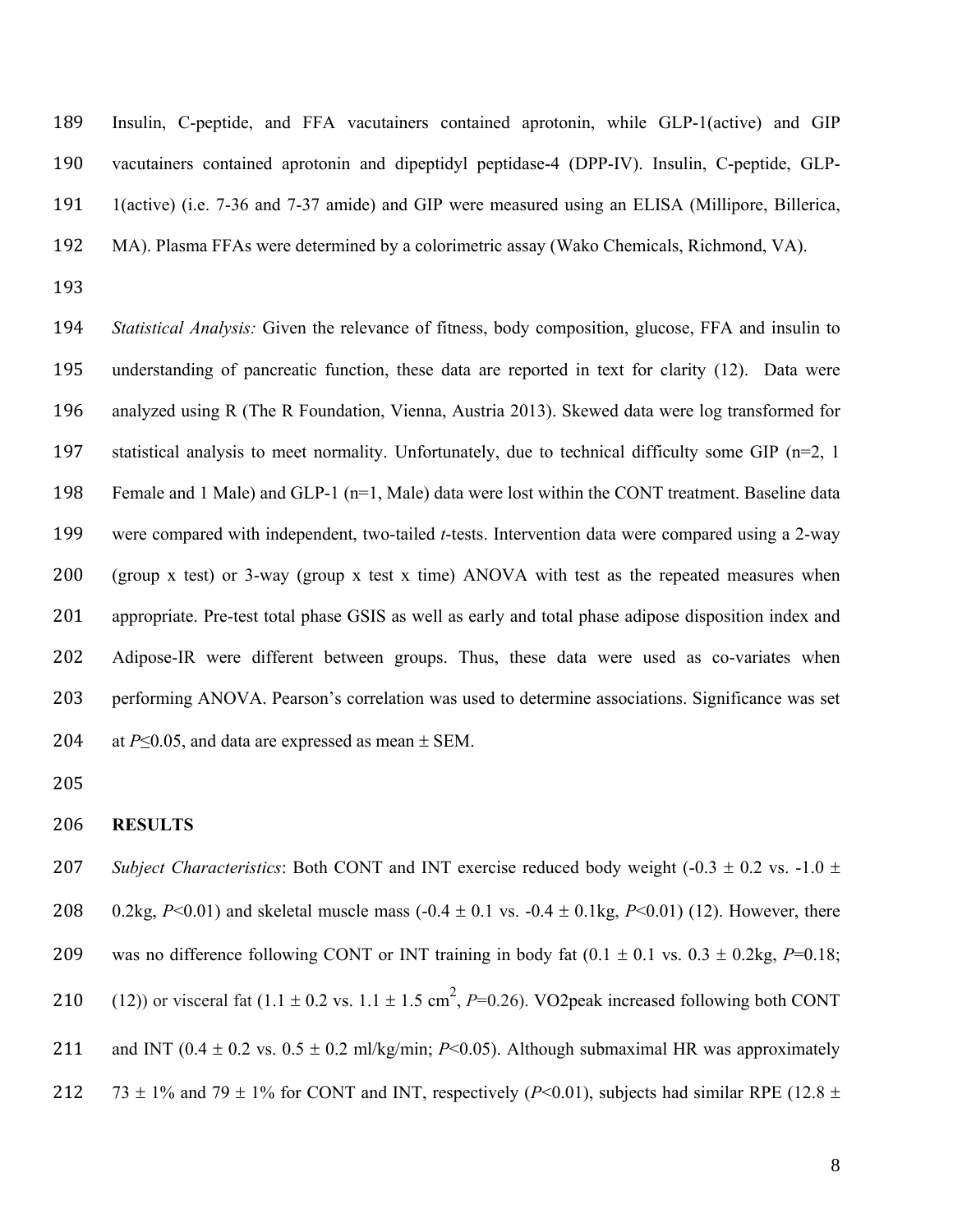Insulin, C-peptide, and FFA vacutainers contained aprotonin, while GLP-1(active) and GIP vacutainers contained aprotonin and dipeptidyl peptidase-4 (DPP-IV). Insulin, C-peptide, GLP- 1(active) (i.e. 7-36 and 7-37 amide) and GIP were measured using an ELISA (Millipore, Billerica, MA). Plasma FFAs were determined by a colorimetric assay (Wako Chemicals, Richmond, VA).

 *Statistical Analysis:* Given the relevance of fitness, body composition, glucose, FFA and insulin to understanding of pancreatic function, these data are reported in text for clarity (12). Data were analyzed using R (The R Foundation, Vienna, Austria 2013). Skewed data were log transformed for statistical analysis to meet normality. Unfortunately, due to technical difficulty some GIP (n=2, 1 Female and 1 Male) and GLP-1 (n=1, Male) data were lost within the CONT treatment. Baseline data were compared with independent, two-tailed *t*-tests. Intervention data were compared using a 2-way (group x test) or 3-way (group x test x time) ANOVA with test as the repeated measures when appropriate. Pre-test total phase GSIS as well as early and total phase adipose disposition index and Adipose-IR were different between groups. Thus, these data were used as co-variates when performing ANOVA. Pearson's correlation was used to determine associations. Significance was set 204 at  $P \le 0.05$ , and data are expressed as mean  $\pm$  SEM.

#### **RESULTS**

207 *Subject Characteristics*: Both CONT and INT exercise reduced body weight (-0.3  $\pm$  0.2 vs. -1.0  $\pm$ 208 0.2kg,  $P<0.01$ ) and skeletal muscle mass  $(-0.4 \pm 0.1 \text{ vs. } -0.4 \pm 0.1 \text{ kg}, P<0.01)$  (12). However, there 209 was no difference following CONT or INT training in body fat  $(0.1 \pm 0.1 \text{ vs. } 0.3 \pm 0.2 \text{ kg}, P=0.18;$ 210 (12)) or visceral fat  $(1.1 \pm 0.2 \text{ vs. } 1.1 \pm 1.5 \text{ cm}^2, P=0.26)$ . VO2peak increased following both CONT

211 and INT ( $0.4 \pm 0.2$  vs.  $0.5 \pm 0.2$  ml/kg/min; *P*<0.05). Although submaximal HR was approximately

212 73  $\pm$  1% and 79  $\pm$  1% for CONT and INT, respectively (*P*<0.01), subjects had similar RPE (12.8  $\pm$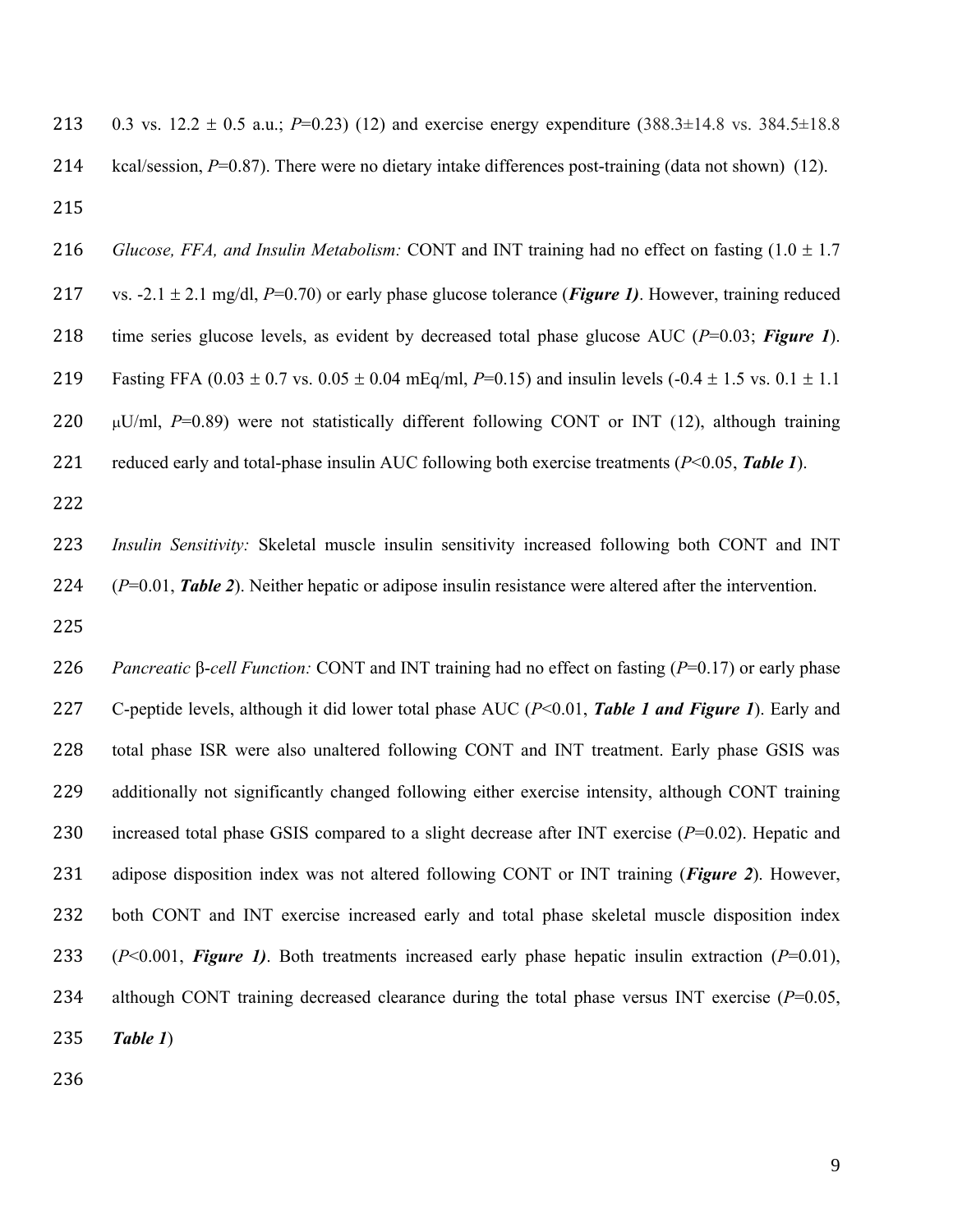213 0.3 vs.  $12.2 \pm 0.5$  a.u.; *P*=0.23) (12) and exercise energy expenditure (388.3±14.8 vs. 384.5±18.8 kcal/session, *P*=0.87). There were no dietary intake differences post-training (data not shown) (12). 

*Glucose, FFA, and Insulin Metabolism:* CONT and INT training had no effect on fasting  $(1.0 \pm 1.7)$ 217 vs.  $-2.1 \pm 2.1$  mg/dl, *P*=0.70) or early phase glucose tolerance (*Figure 1*). However, training reduced time series glucose levels, as evident by decreased total phase glucose AUC (*P*=0.03; *Figure 1*). 219 Fasting FFA  $(0.03 \pm 0.7 \text{ vs. } 0.05 \pm 0.04 \text{ mEq/ml}, P=0.15)$  and insulin levels  $(-0.4 \pm 1.5 \text{ vs. } 0.1 \pm 1.1 \text{ m}$  $\mu$ U/ml, *P*=0.89) were not statistically different following CONT or INT (12), although training reduced early and total-phase insulin AUC following both exercise treatments (*P*<0.05, *Table 1*).

 *Insulin Sensitivity:* Skeletal muscle insulin sensitivity increased following both CONT and INT (*P*=0.01, *Table 2*). Neither hepatic or adipose insulin resistance were altered after the intervention.

 *Pancreatic* β-*cell Function:* CONT and INT training had no effect on fasting (*P*=0.17) or early phase C-peptide levels, although it did lower total phase AUC (*P*<0.01, *Table 1 and Figure 1*). Early and total phase ISR were also unaltered following CONT and INT treatment. Early phase GSIS was additionally not significantly changed following either exercise intensity, although CONT training increased total phase GSIS compared to a slight decrease after INT exercise (*P*=0.02). Hepatic and adipose disposition index was not altered following CONT or INT training (*Figure 2*). However, both CONT and INT exercise increased early and total phase skeletal muscle disposition index (*P*<0.001, *Figure 1)*. Both treatments increased early phase hepatic insulin extraction (*P*=0.01), although CONT training decreased clearance during the total phase versus INT exercise (*P*=0.05, *Table 1*)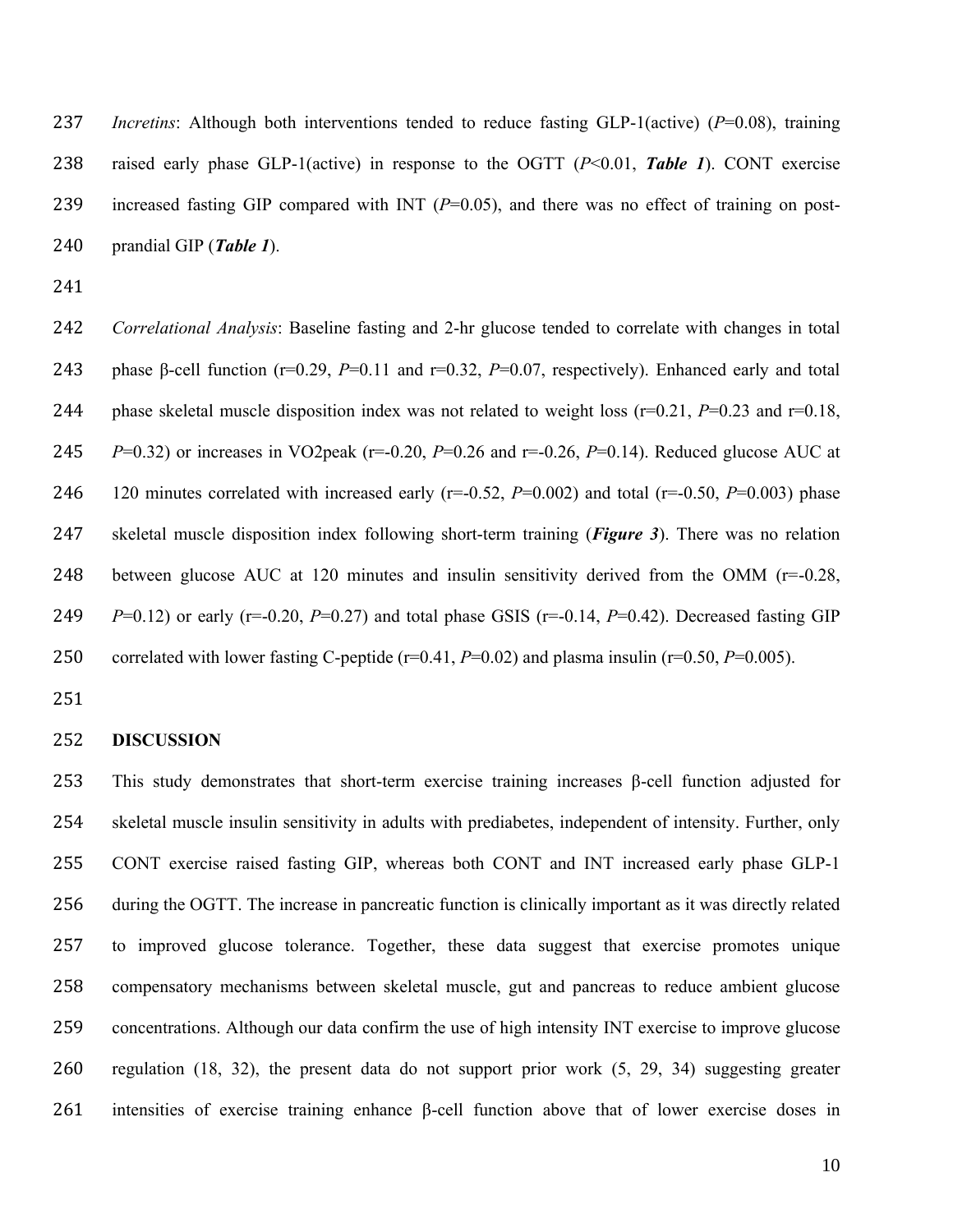*Incretins*: Although both interventions tended to reduce fasting GLP-1(active) (*P*=0.08), training raised early phase GLP-1(active) in response to the OGTT (*P*<0.01, *Table 1*). CONT exercise increased fasting GIP compared with INT (*P*=0.05), and there was no effect of training on post-prandial GIP (*Table 1*).

 *Correlational Analysis*: Baseline fasting and 2-hr glucose tended to correlate with changes in total phase β-cell function (r=0.29, *P*=0.11 and r=0.32, *P*=0.07, respectively). Enhanced early and total phase skeletal muscle disposition index was not related to weight loss (r=0.21, *P*=0.23 and r=0.18, *P*=0.32) or increases in VO2peak (r=-0.20, *P*=0.26 and r=-0.26, *P*=0.14). Reduced glucose AUC at 120 minutes correlated with increased early (r=-0.52, *P*=0.002) and total (r=-0.50, *P*=0.003) phase skeletal muscle disposition index following short-term training (*Figure 3*). There was no relation 248 between glucose AUC at 120 minutes and insulin sensitivity derived from the OMM  $(r=0.28,$ *P*=0.12) or early (r=-0.20, *P*=0.27) and total phase GSIS (r=-0.14, *P*=0.42). Decreased fasting GIP correlated with lower fasting C-peptide (r=0.41, *P*=0.02) and plasma insulin (r=0.50, *P*=0.005).

#### **DISCUSSION**

 This study demonstrates that short-term exercise training increases β-cell function adjusted for skeletal muscle insulin sensitivity in adults with prediabetes, independent of intensity. Further, only CONT exercise raised fasting GIP, whereas both CONT and INT increased early phase GLP-1 during the OGTT. The increase in pancreatic function is clinically important as it was directly related to improved glucose tolerance. Together, these data suggest that exercise promotes unique compensatory mechanisms between skeletal muscle, gut and pancreas to reduce ambient glucose concentrations. Although our data confirm the use of high intensity INT exercise to improve glucose regulation (18, 32), the present data do not support prior work (5, 29, 34) suggesting greater intensities of exercise training enhance β-cell function above that of lower exercise doses in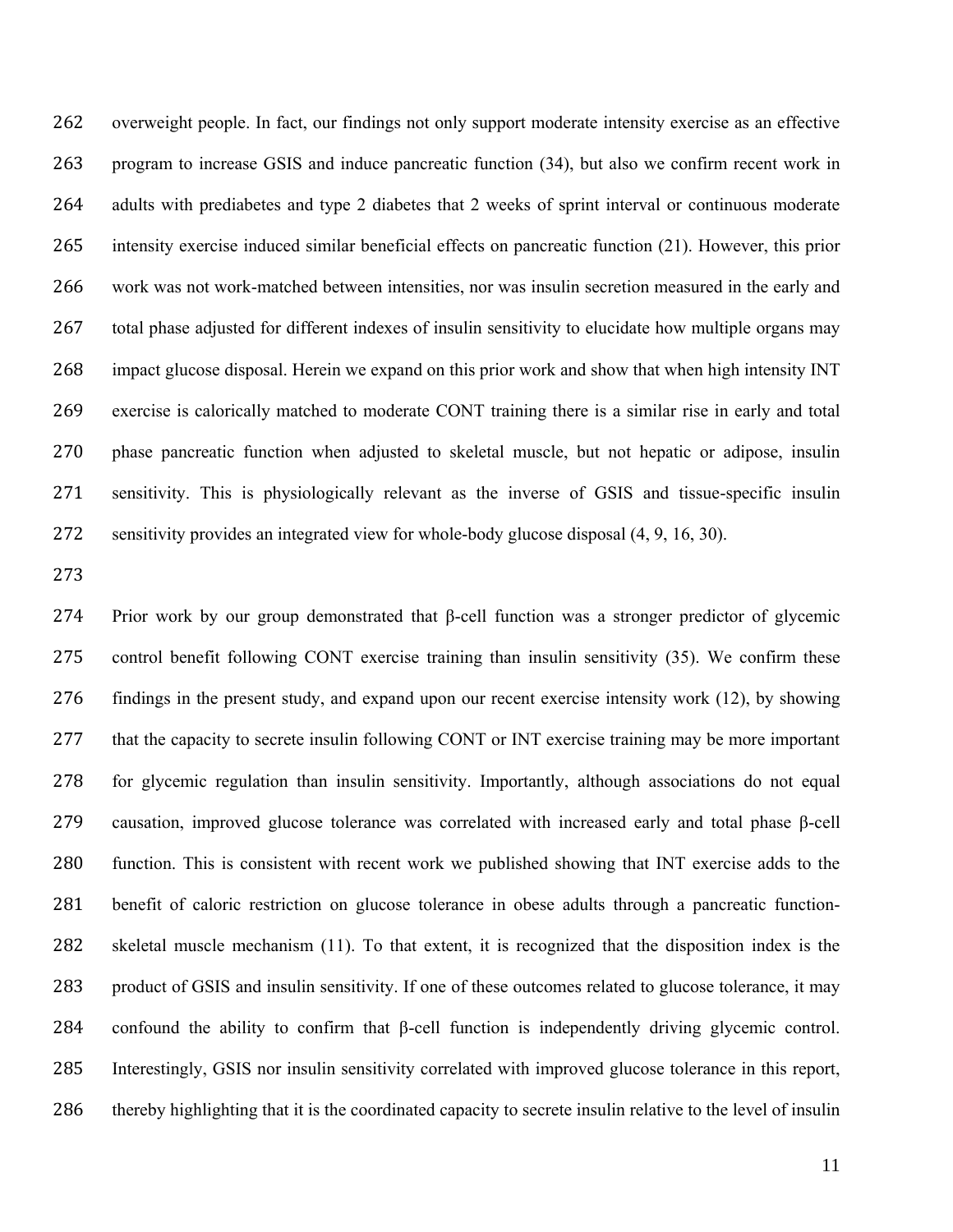overweight people. In fact, our findings not only support moderate intensity exercise as an effective program to increase GSIS and induce pancreatic function (34), but also we confirm recent work in adults with prediabetes and type 2 diabetes that 2 weeks of sprint interval or continuous moderate intensity exercise induced similar beneficial effects on pancreatic function (21). However, this prior work was not work-matched between intensities, nor was insulin secretion measured in the early and total phase adjusted for different indexes of insulin sensitivity to elucidate how multiple organs may impact glucose disposal. Herein we expand on this prior work and show that when high intensity INT exercise is calorically matched to moderate CONT training there is a similar rise in early and total phase pancreatic function when adjusted to skeletal muscle, but not hepatic or adipose, insulin sensitivity. This is physiologically relevant as the inverse of GSIS and tissue-specific insulin sensitivity provides an integrated view for whole-body glucose disposal (4, 9, 16, 30).

 Prior work by our group demonstrated that β-cell function was a stronger predictor of glycemic control benefit following CONT exercise training than insulin sensitivity (35). We confirm these findings in the present study, and expand upon our recent exercise intensity work (12), by showing that the capacity to secrete insulin following CONT or INT exercise training may be more important for glycemic regulation than insulin sensitivity. Importantly, although associations do not equal causation, improved glucose tolerance was correlated with increased early and total phase β-cell function. This is consistent with recent work we published showing that INT exercise adds to the benefit of caloric restriction on glucose tolerance in obese adults through a pancreatic function- skeletal muscle mechanism (11). To that extent, it is recognized that the disposition index is the product of GSIS and insulin sensitivity. If one of these outcomes related to glucose tolerance, it may confound the ability to confirm that β-cell function is independently driving glycemic control. Interestingly, GSIS nor insulin sensitivity correlated with improved glucose tolerance in this report, 286 thereby highlighting that it is the coordinated capacity to secrete insulin relative to the level of insulin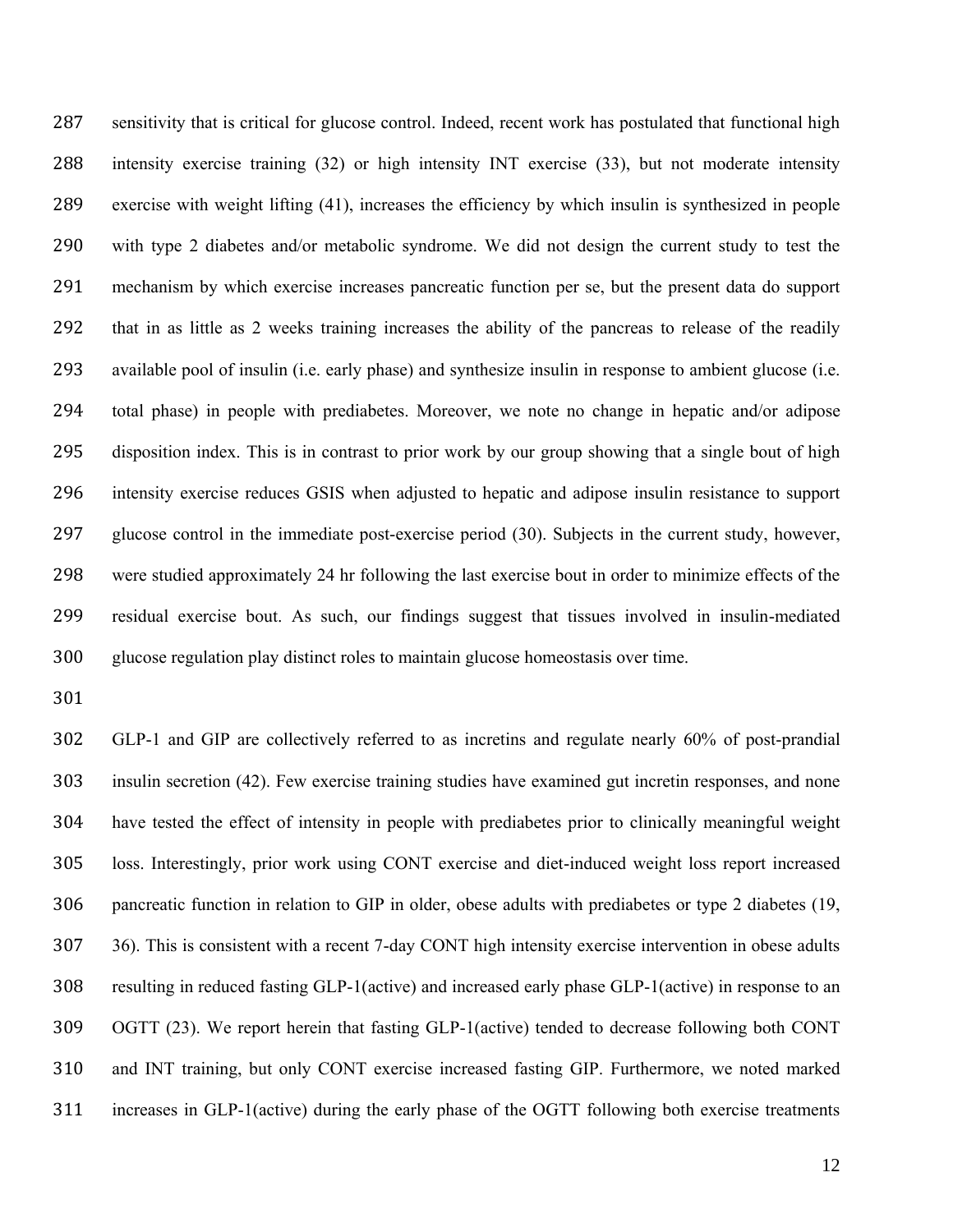sensitivity that is critical for glucose control. Indeed, recent work has postulated that functional high intensity exercise training (32) or high intensity INT exercise (33), but not moderate intensity exercise with weight lifting (41), increases the efficiency by which insulin is synthesized in people with type 2 diabetes and/or metabolic syndrome. We did not design the current study to test the mechanism by which exercise increases pancreatic function per se, but the present data do support that in as little as 2 weeks training increases the ability of the pancreas to release of the readily available pool of insulin (i.e. early phase) and synthesize insulin in response to ambient glucose (i.e. total phase) in people with prediabetes. Moreover, we note no change in hepatic and/or adipose disposition index. This is in contrast to prior work by our group showing that a single bout of high intensity exercise reduces GSIS when adjusted to hepatic and adipose insulin resistance to support glucose control in the immediate post-exercise period (30). Subjects in the current study, however, were studied approximately 24 hr following the last exercise bout in order to minimize effects of the residual exercise bout. As such, our findings suggest that tissues involved in insulin-mediated glucose regulation play distinct roles to maintain glucose homeostasis over time.

 GLP-1 and GIP are collectively referred to as incretins and regulate nearly 60% of post-prandial insulin secretion (42). Few exercise training studies have examined gut incretin responses, and none have tested the effect of intensity in people with prediabetes prior to clinically meaningful weight loss. Interestingly, prior work using CONT exercise and diet-induced weight loss report increased pancreatic function in relation to GIP in older, obese adults with prediabetes or type 2 diabetes (19, 36). This is consistent with a recent 7-day CONT high intensity exercise intervention in obese adults resulting in reduced fasting GLP-1(active) and increased early phase GLP-1(active) in response to an OGTT (23). We report herein that fasting GLP-1(active) tended to decrease following both CONT and INT training, but only CONT exercise increased fasting GIP. Furthermore, we noted marked increases in GLP-1(active) during the early phase of the OGTT following both exercise treatments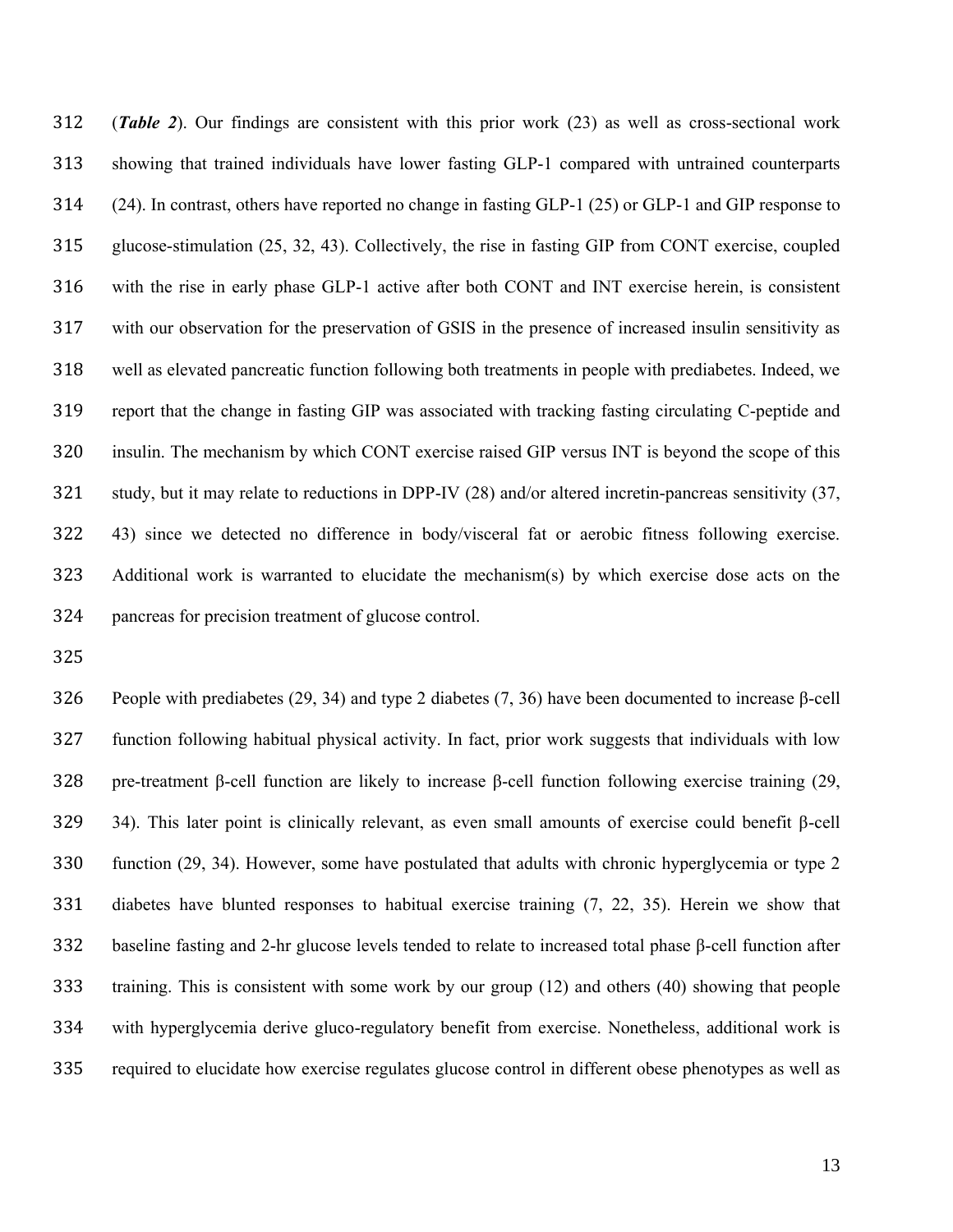(*Table 2*). Our findings are consistent with this prior work (23) as well as cross-sectional work showing that trained individuals have lower fasting GLP-1 compared with untrained counterparts (24). In contrast, others have reported no change in fasting GLP-1 (25) or GLP-1 and GIP response to glucose-stimulation (25, 32, 43). Collectively, the rise in fasting GIP from CONT exercise, coupled with the rise in early phase GLP-1 active after both CONT and INT exercise herein, is consistent with our observation for the preservation of GSIS in the presence of increased insulin sensitivity as well as elevated pancreatic function following both treatments in people with prediabetes. Indeed, we report that the change in fasting GIP was associated with tracking fasting circulating C-peptide and insulin. The mechanism by which CONT exercise raised GIP versus INT is beyond the scope of this study, but it may relate to reductions in DPP-IV (28) and/or altered incretin-pancreas sensitivity (37, 43) since we detected no difference in body/visceral fat or aerobic fitness following exercise. Additional work is warranted to elucidate the mechanism(s) by which exercise dose acts on the pancreas for precision treatment of glucose control.

326 People with prediabetes (29, 34) and type 2 diabetes (7, 36) have been documented to increase  $\beta$ -cell function following habitual physical activity. In fact, prior work suggests that individuals with low pre-treatment β-cell function are likely to increase β-cell function following exercise training (29, 34). This later point is clinically relevant, as even small amounts of exercise could benefit β-cell function (29, 34). However, some have postulated that adults with chronic hyperglycemia or type 2 diabetes have blunted responses to habitual exercise training (7, 22, 35). Herein we show that baseline fasting and 2-hr glucose levels tended to relate to increased total phase β-cell function after training. This is consistent with some work by our group (12) and others (40) showing that people with hyperglycemia derive gluco-regulatory benefit from exercise. Nonetheless, additional work is required to elucidate how exercise regulates glucose control in different obese phenotypes as well as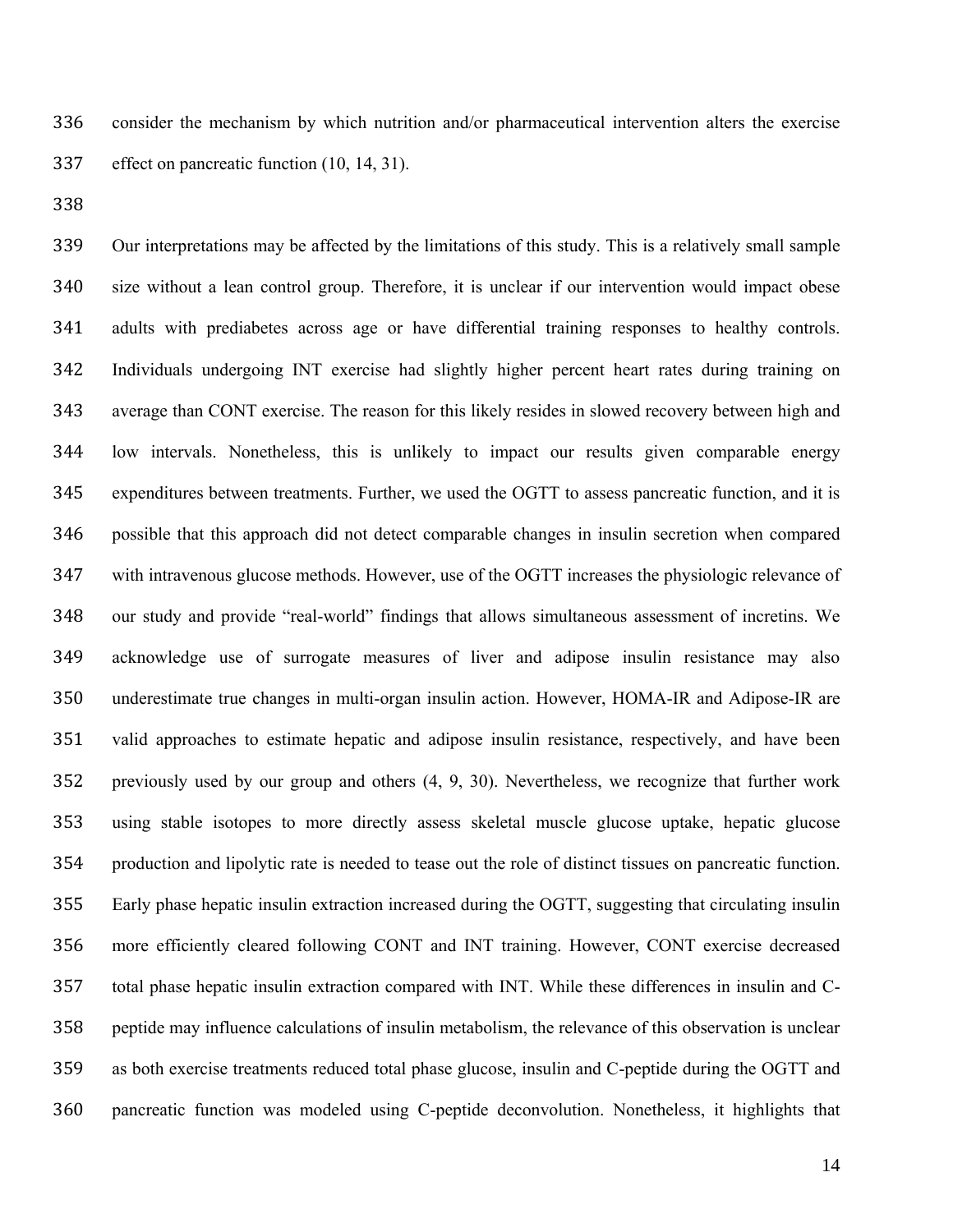consider the mechanism by which nutrition and/or pharmaceutical intervention alters the exercise effect on pancreatic function (10, 14, 31).

 Our interpretations may be affected by the limitations of this study. This is a relatively small sample size without a lean control group. Therefore, it is unclear if our intervention would impact obese adults with prediabetes across age or have differential training responses to healthy controls. Individuals undergoing INT exercise had slightly higher percent heart rates during training on average than CONT exercise. The reason for this likely resides in slowed recovery between high and low intervals. Nonetheless, this is unlikely to impact our results given comparable energy expenditures between treatments. Further, we used the OGTT to assess pancreatic function, and it is possible that this approach did not detect comparable changes in insulin secretion when compared with intravenous glucose methods. However, use of the OGTT increases the physiologic relevance of our study and provide "real-world" findings that allows simultaneous assessment of incretins. We acknowledge use of surrogate measures of liver and adipose insulin resistance may also underestimate true changes in multi-organ insulin action. However, HOMA-IR and Adipose-IR are valid approaches to estimate hepatic and adipose insulin resistance, respectively, and have been previously used by our group and others (4, 9, 30). Nevertheless, we recognize that further work using stable isotopes to more directly assess skeletal muscle glucose uptake, hepatic glucose production and lipolytic rate is needed to tease out the role of distinct tissues on pancreatic function. Early phase hepatic insulin extraction increased during the OGTT, suggesting that circulating insulin more efficiently cleared following CONT and INT training. However, CONT exercise decreased total phase hepatic insulin extraction compared with INT. While these differences in insulin and C- peptide may influence calculations of insulin metabolism, the relevance of this observation is unclear as both exercise treatments reduced total phase glucose, insulin and C-peptide during the OGTT and pancreatic function was modeled using C-peptide deconvolution. Nonetheless, it highlights that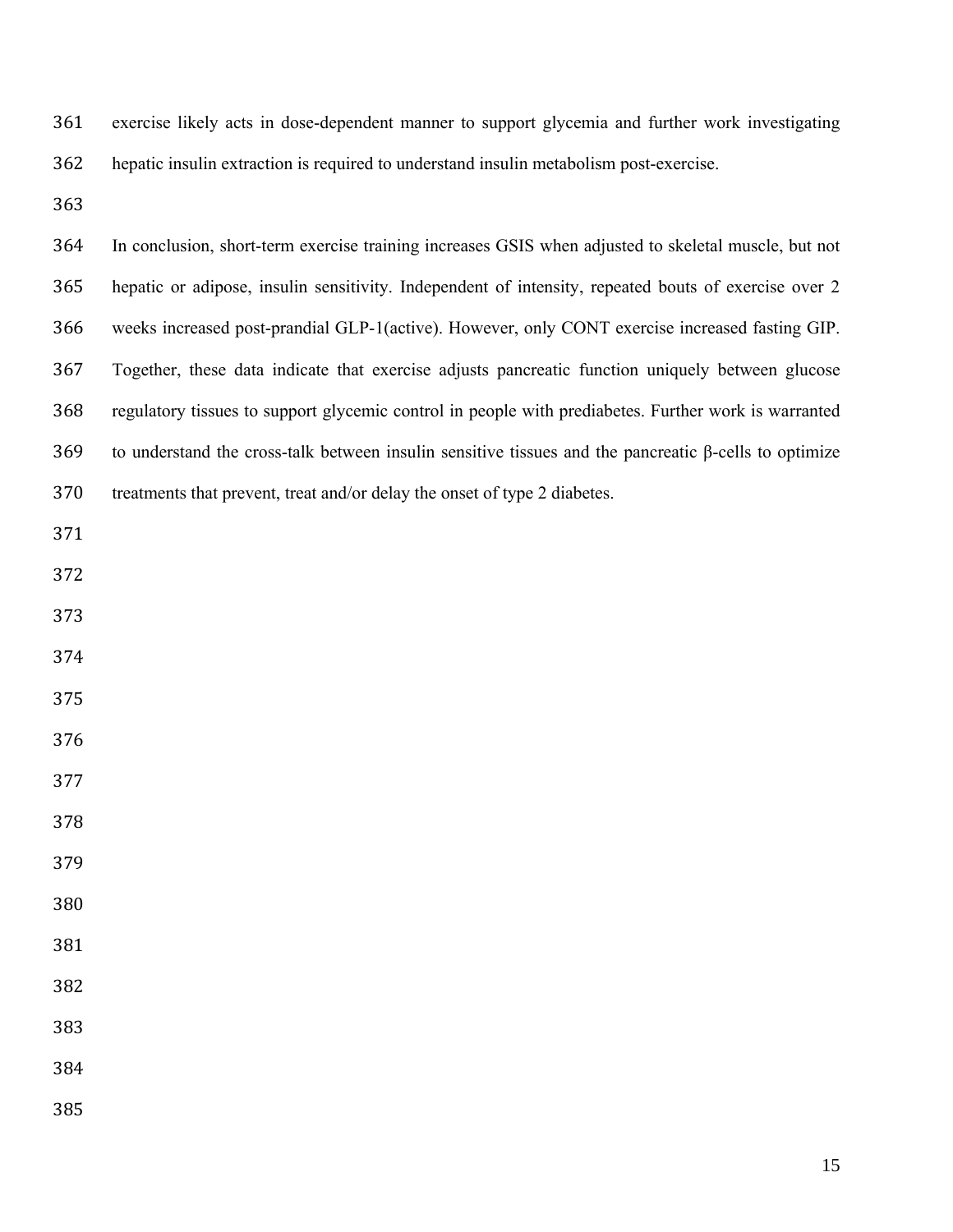exercise likely acts in dose-dependent manner to support glycemia and further work investigating hepatic insulin extraction is required to understand insulin metabolism post-exercise.

 In conclusion, short-term exercise training increases GSIS when adjusted to skeletal muscle, but not hepatic or adipose, insulin sensitivity. Independent of intensity, repeated bouts of exercise over 2 weeks increased post-prandial GLP-1(active). However, only CONT exercise increased fasting GIP. Together, these data indicate that exercise adjusts pancreatic function uniquely between glucose regulatory tissues to support glycemic control in people with prediabetes. Further work is warranted to understand the cross-talk between insulin sensitive tissues and the pancreatic β-cells to optimize treatments that prevent, treat and/or delay the onset of type 2 diabetes.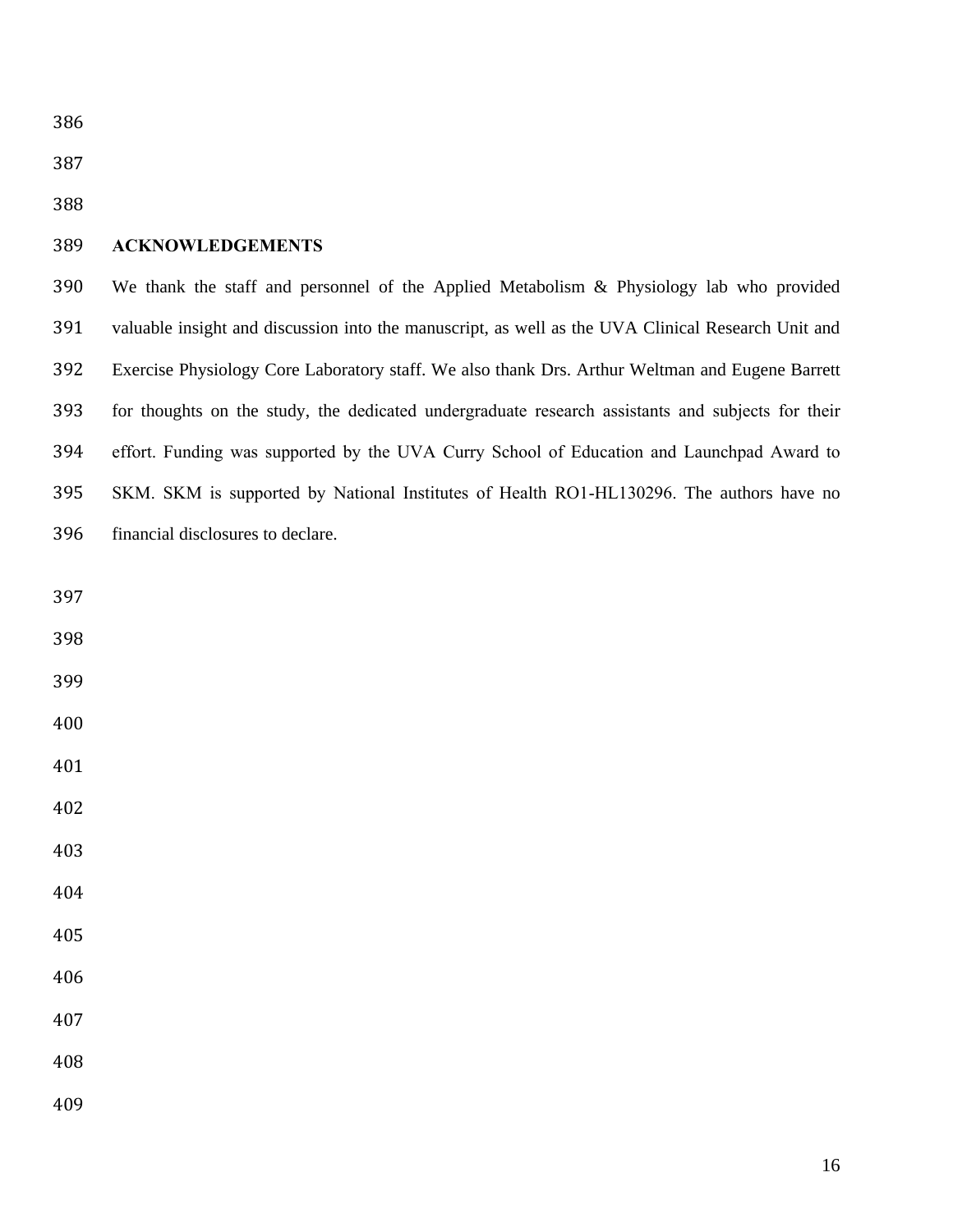## **ACKNOWLEDGEMENTS**

 We thank the staff and personnel of the Applied Metabolism & Physiology lab who provided valuable insight and discussion into the manuscript, as well as the UVA Clinical Research Unit and Exercise Physiology Core Laboratory staff. We also thank Drs. Arthur Weltman and Eugene Barrett for thoughts on the study, the dedicated undergraduate research assistants and subjects for their effort. Funding was supported by the UVA Curry School of Education and Launchpad Award to SKM. SKM is supported by National Institutes of Health RO1-HL130296. The authors have no financial disclosures to declare.

| 398 |  |
|-----|--|
| 399 |  |
| 400 |  |
| 401 |  |
| 402 |  |
| 403 |  |
| 404 |  |
| 405 |  |
| 406 |  |
| 407 |  |
| 408 |  |
| 409 |  |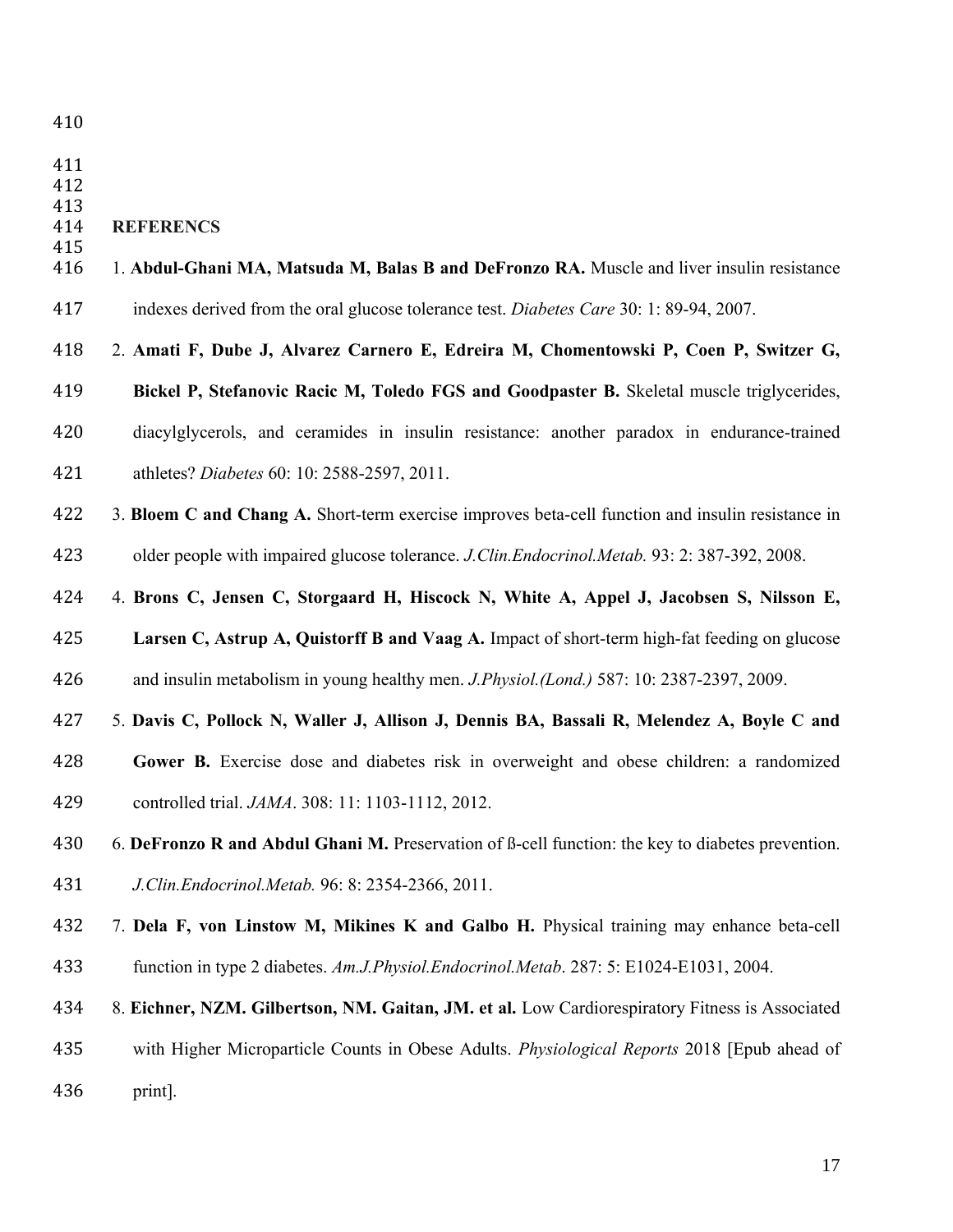- 
- 

- **REFERENCS**
- 1. **Abdul-Ghani MA, Matsuda M, Balas B and DeFronzo RA.** Muscle and liver insulin resistance indexes derived from the oral glucose tolerance test. *Diabetes Care* 30: 1: 89-94, 2007.
- 2. **Amati F, Dube J, Alvarez Carnero E, Edreira M, Chomentowski P, Coen P, Switzer G,**
- **Bickel P, Stefanovic Racic M, Toledo FGS and Goodpaster B.** Skeletal muscle triglycerides,
- diacylglycerols, and ceramides in insulin resistance: another paradox in endurance-trained
- athletes? *Diabetes* 60: 10: 2588-2597, 2011.
- 3. **Bloem C and Chang A.** Short-term exercise improves beta-cell function and insulin resistance in older people with impaired glucose tolerance. *J.Clin.Endocrinol.Metab.* 93: 2: 387-392, 2008.
- 4. **Brons C, Jensen C, Storgaard H, Hiscock N, White A, Appel J, Jacobsen S, Nilsson E,**
- **Larsen C, Astrup A, Quistorff B and Vaag A.** Impact of short-term high-fat feeding on glucose and insulin metabolism in young healthy men. *J.Physiol.(Lond.)* 587: 10: 2387-2397, 2009.
- 5. **Davis C, Pollock N, Waller J, Allison J, Dennis BA, Bassali R, Melendez A, Boyle C and**
- **Gower B.** Exercise dose and diabetes risk in overweight and obese children: a randomized controlled trial. *JAMA*. 308: 11: 1103-1112, 2012.
- 6. **DeFronzo R and Abdul Ghani M.** Preservation of ß-cell function: the key to diabetes prevention.
- *J.Clin.Endocrinol.Metab.* 96: 8: 2354-2366, 2011.
- 7. **Dela F, von Linstow M, Mikines K and Galbo H.** Physical training may enhance beta-cell function in type 2 diabetes. *Am.J.Physiol.Endocrinol.Metab*. 287: 5: E1024-E1031, 2004.
- 8. **Eichner, NZM. Gilbertson, NM. Gaitan, JM. et al.** Low Cardiorespiratory Fitness is Associated
- with Higher Microparticle Counts in Obese Adults. *Physiological Reports* 2018 [Epub ahead of print].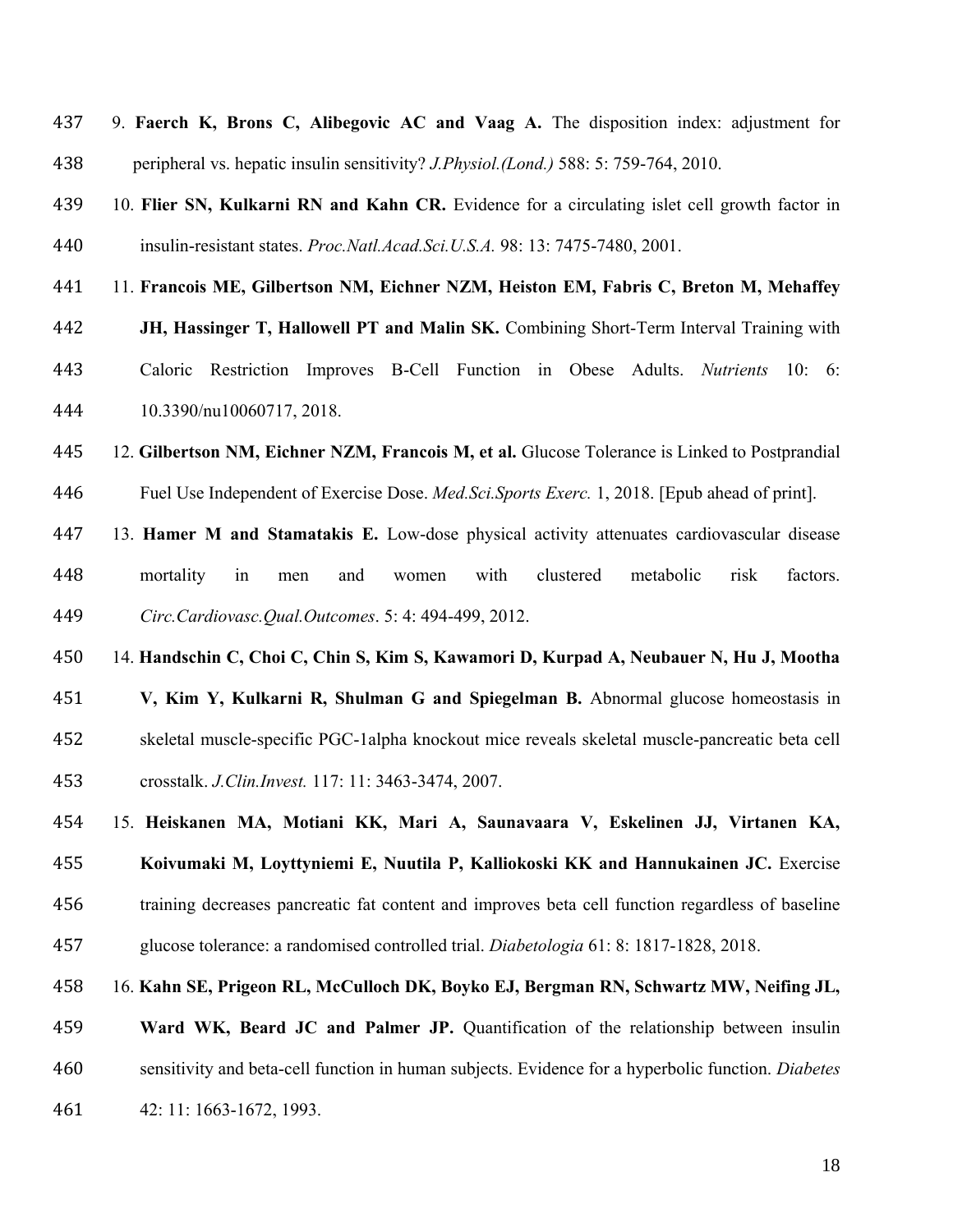| 437 | 9. Faerch K, Brons C, Alibegovic AC and Vaag A. The disposition index: adjustment for              |
|-----|----------------------------------------------------------------------------------------------------|
| 438 | peripheral vs. hepatic insulin sensitivity? <i>J.Physiol.(Lond.)</i> 588: 5: 759-764, 2010.        |
| 439 | 10. Flier SN, Kulkarni RN and Kahn CR. Evidence for a circulating islet cell growth factor in      |
| 440 | insulin-resistant states. Proc. Natl. Acad. Sci. U.S.A. 98: 13: 7475-7480, 2001.                   |
| 441 | 11. Francois ME, Gilbertson NM, Eichner NZM, Heiston EM, Fabris C, Breton M, Mehaffey              |
| 442 | JH, Hassinger T, Hallowell PT and Malin SK. Combining Short-Term Interval Training with            |
| 443 | Caloric Restriction Improves B-Cell Function in Obese Adults. Nutrients 10: 6:                     |
| 444 | 10.3390/nu10060717, 2018.                                                                          |
| 445 | 12. Gilbertson NM, Eichner NZM, Francois M, et al. Glucose Tolerance is Linked to Postprandial     |
| 446 | Fuel Use Independent of Exercise Dose. Med.Sci.Sports Exerc. 1, 2018. [Epub ahead of print].       |
| 447 | 13. Hamer M and Stamatakis E. Low-dose physical activity attenuates cardiovascular disease         |
| 448 | mortality<br>clustered<br>risk<br>factors.<br>in<br>with<br>metabolic<br>and<br>women<br>men       |
| 449 | Circ.Cardiovasc.Qual.Outcomes. 5: 4: 494-499, 2012.                                                |
| 450 | 14. Handschin C, Choi C, Chin S, Kim S, Kawamori D, Kurpad A, Neubauer N, Hu J, Mootha             |
| 451 | V, Kim Y, Kulkarni R, Shulman G and Spiegelman B. Abnormal glucose homeostasis in                  |
| 452 | skeletal muscle-specific PGC-1alpha knockout mice reveals skeletal muscle-pancreatic beta cell     |
| 453 | crosstalk. J.Clin.Invest. 117: 11: 3463-3474, 2007.                                                |
| 454 | 15. Heiskanen MA, Motiani KK, Mari A, Saunavaara V, Eskelinen JJ, Virtanen KA,                     |
| 455 | Koivumaki M, Loyttyniemi E, Nuutila P, Kalliokoski KK and Hannukainen JC. Exercise                 |
| 456 | training decreases pancreatic fat content and improves beta cell function regardless of baseline   |
| 457 | glucose tolerance: a randomised controlled trial. <i>Diabetologia</i> 61: 8: 1817-1828, 2018.      |
| 458 | 16. Kahn SE, Prigeon RL, McCulloch DK, Boyko EJ, Bergman RN, Schwartz MW, Neifing JL,              |
| 459 | Ward WK, Beard JC and Palmer JP. Quantification of the relationship between insulin                |
| 460 | sensitivity and beta-cell function in human subjects. Evidence for a hyperbolic function. Diabetes |

42: 11: 1663-1672, 1993.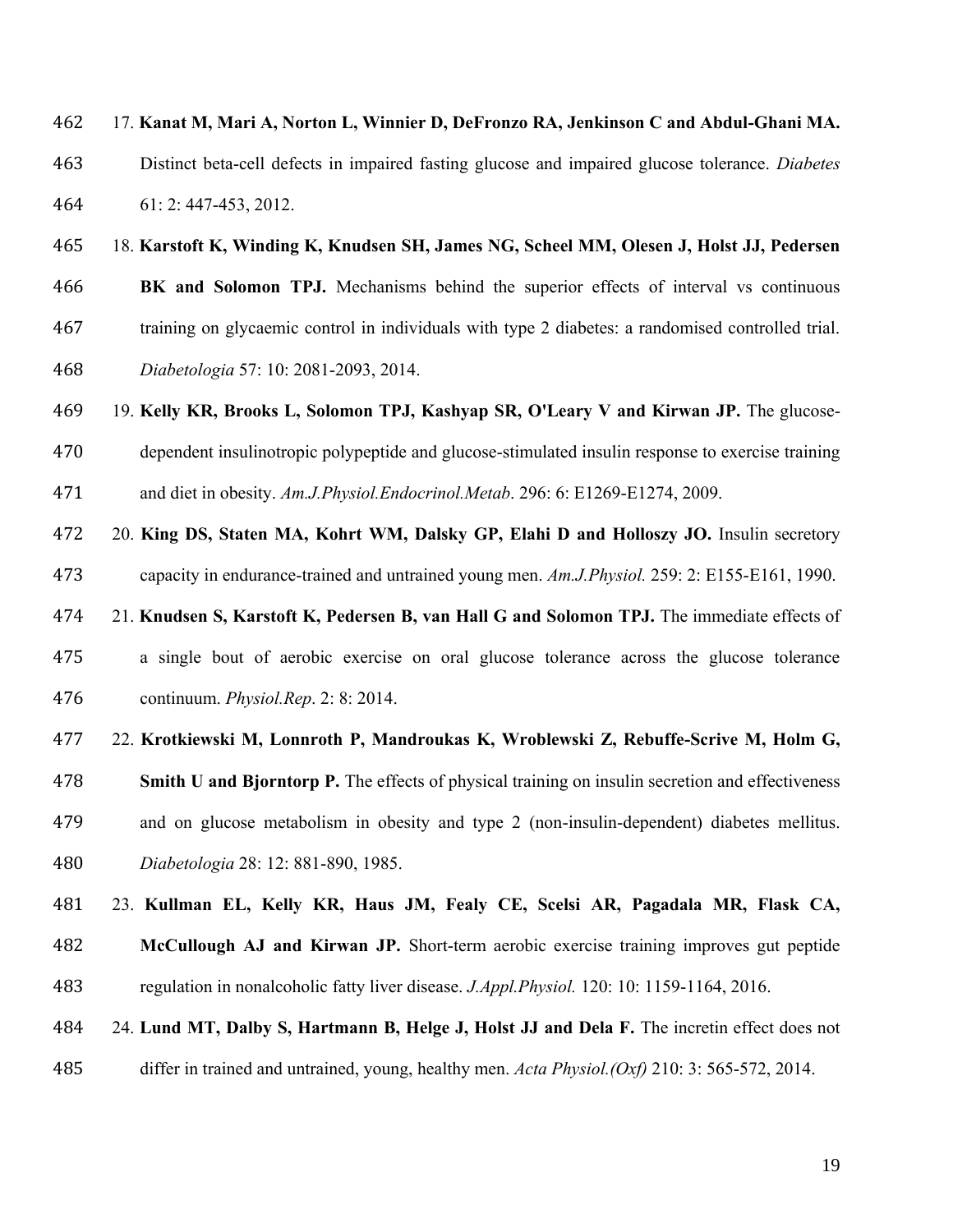17. **Kanat M, Mari A, Norton L, Winnier D, DeFronzo RA, Jenkinson C and Abdul-Ghani MA.**  Distinct beta-cell defects in impaired fasting glucose and impaired glucose tolerance. *Diabetes*  61: 2: 447-453, 2012.

#### 18. **Karstoft K, Winding K, Knudsen SH, James NG, Scheel MM, Olesen J, Holst JJ, Pedersen**

 **BK and Solomon TPJ.** Mechanisms behind the superior effects of interval vs continuous training on glycaemic control in individuals with type 2 diabetes: a randomised controlled trial.

*Diabetologia* 57: 10: 2081-2093, 2014.

19. **Kelly KR, Brooks L, Solomon TPJ, Kashyap SR, O'Leary V and Kirwan JP.** The glucose-

 dependent insulinotropic polypeptide and glucose-stimulated insulin response to exercise training and diet in obesity. *Am.J.Physiol.Endocrinol.Metab*. 296: 6: E1269-E1274, 2009.

 20. **King DS, Staten MA, Kohrt WM, Dalsky GP, Elahi D and Holloszy JO.** Insulin secretory capacity in endurance-trained and untrained young men. *Am.J.Physiol.* 259: 2: E155-E161, 1990.

21. **Knudsen S, Karstoft K, Pedersen B, van Hall G and Solomon TPJ.** The immediate effects of

 a single bout of aerobic exercise on oral glucose tolerance across the glucose tolerance continuum. *Physiol.Rep*. 2: 8: 2014.

22. **Krotkiewski M, Lonnroth P, Mandroukas K, Wroblewski Z, Rebuffe-Scrive M, Holm G,** 

 **Smith U and Bjorntorp P.** The effects of physical training on insulin secretion and effectiveness and on glucose metabolism in obesity and type 2 (non-insulin-dependent) diabetes mellitus.

*Diabetologia* 28: 12: 881-890, 1985.

 23. **Kullman EL, Kelly KR, Haus JM, Fealy CE, Scelsi AR, Pagadala MR, Flask CA, McCullough AJ and Kirwan JP.** Short-term aerobic exercise training improves gut peptide regulation in nonalcoholic fatty liver disease. *J.Appl.Physiol.* 120: 10: 1159-1164, 2016.

24. **Lund MT, Dalby S, Hartmann B, Helge J, Holst JJ and Dela F.** The incretin effect does not

differ in trained and untrained, young, healthy men. *Acta Physiol.(Oxf)* 210: 3: 565-572, 2014.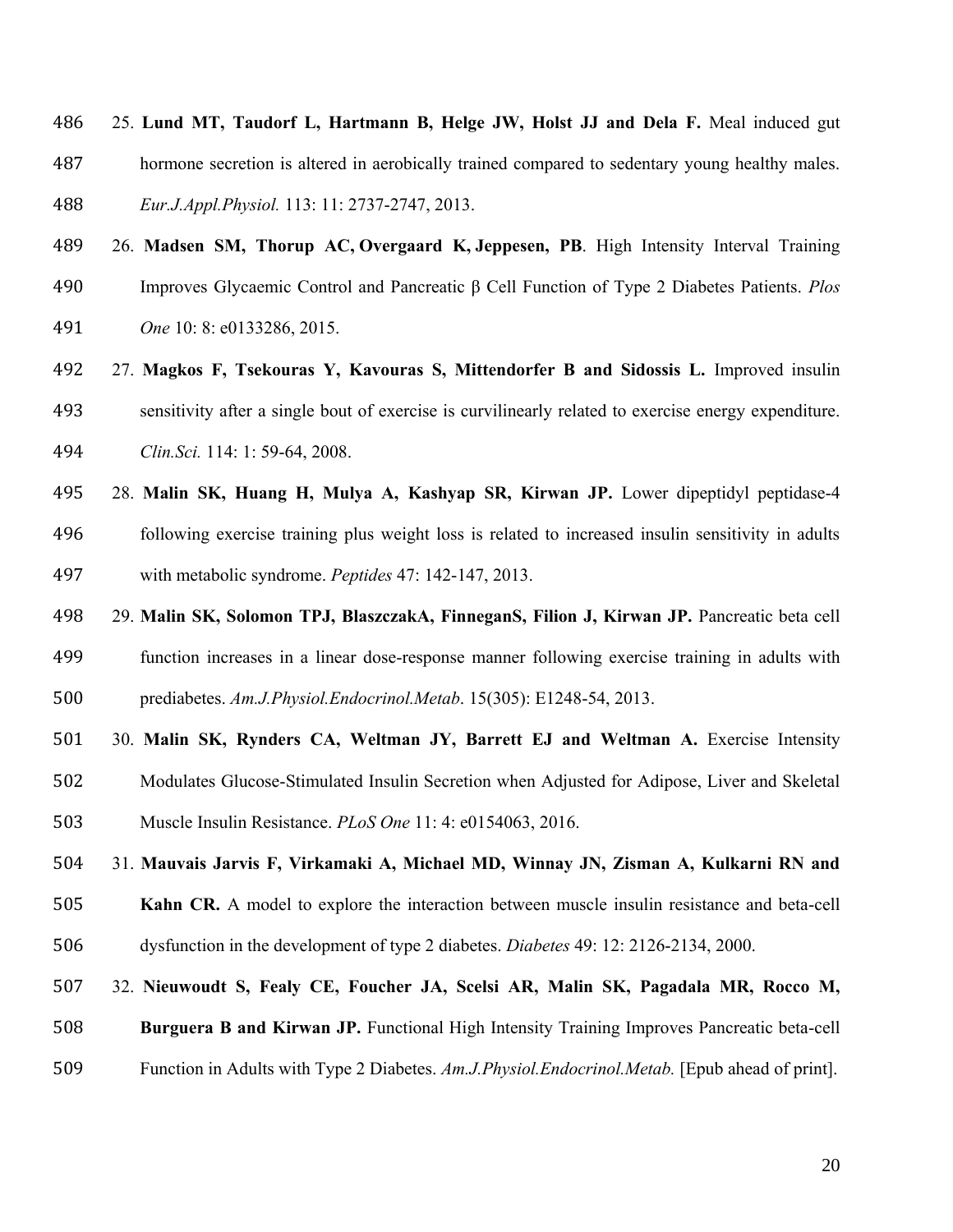- 25. **Lund MT, Taudorf L, Hartmann B, Helge JW, Holst JJ and Dela F.** Meal induced gut hormone secretion is altered in aerobically trained compared to sedentary young healthy males. *Eur.J.Appl.Physiol.* 113: 11: 2737-2747, 2013.
- 26. **Madsen SM, [Thorup AC,](https://www.ncbi.nlm.nih.gov/pubmed/?term=Thorup%20AC%5BAuthor%5D&cauthor=true&cauthor_uid=26258597) [Overgaard K,](https://www.ncbi.nlm.nih.gov/pubmed/?term=Overgaard%20K%5BAuthor%5D&cauthor=true&cauthor_uid=26258597) Jeppesen, PB**. High Intensity Interval Training
- Improves Glycaemic Control and Pancreatic β Cell Function of Type 2 Diabetes Patients. *Plos*
- *One* 10: 8: e0133286, 2015.
- 27. **Magkos F, Tsekouras Y, Kavouras S, Mittendorfer B and Sidossis L.** Improved insulin sensitivity after a single bout of exercise is curvilinearly related to exercise energy expenditure. *Clin.Sci.* 114: 1: 59-64, 2008.
- 28. **Malin SK, Huang H, Mulya A, Kashyap SR, Kirwan JP.** Lower dipeptidyl peptidase-4 following exercise training plus weight loss is related to increased insulin sensitivity in adults with metabolic syndrome. *Peptides* 47: 142-147, 2013.
- 29. **Malin SK, Solomon TPJ, BlaszczakA, FinneganS, Filion J, Kirwan JP.** Pancreatic beta cell
- function increases in a linear dose-response manner following exercise training in adults with prediabetes. *Am.J.Physiol.Endocrinol.Metab*. 15(305): E1248-54, 2013.
- 501 30. Malin SK, Rynders CA, Weltman JY, Barrett EJ and Weltman A. Exercise Intensity Modulates Glucose-Stimulated Insulin Secretion when Adjusted for Adipose, Liver and Skeletal Muscle Insulin Resistance. *PLoS One* 11: 4: e0154063, 2016.
- 31. **Mauvais Jarvis F, Virkamaki A, Michael MD, Winnay JN, Zisman A, Kulkarni RN and**
- **Kahn CR.** A model to explore the interaction between muscle insulin resistance and beta-cell dysfunction in the development of type 2 diabetes. *Diabetes* 49: 12: 2126-2134, 2000.
- 32. **Nieuwoudt S, Fealy CE, Foucher JA, Scelsi AR, Malin SK, Pagadala MR, Rocco M,**

**Burguera B and Kirwan JP.** Functional High Intensity Training Improves Pancreatic beta-cell

Function in Adults with Type 2 Diabetes. *Am.J.Physiol.Endocrinol.Metab.* [Epub ahead of print].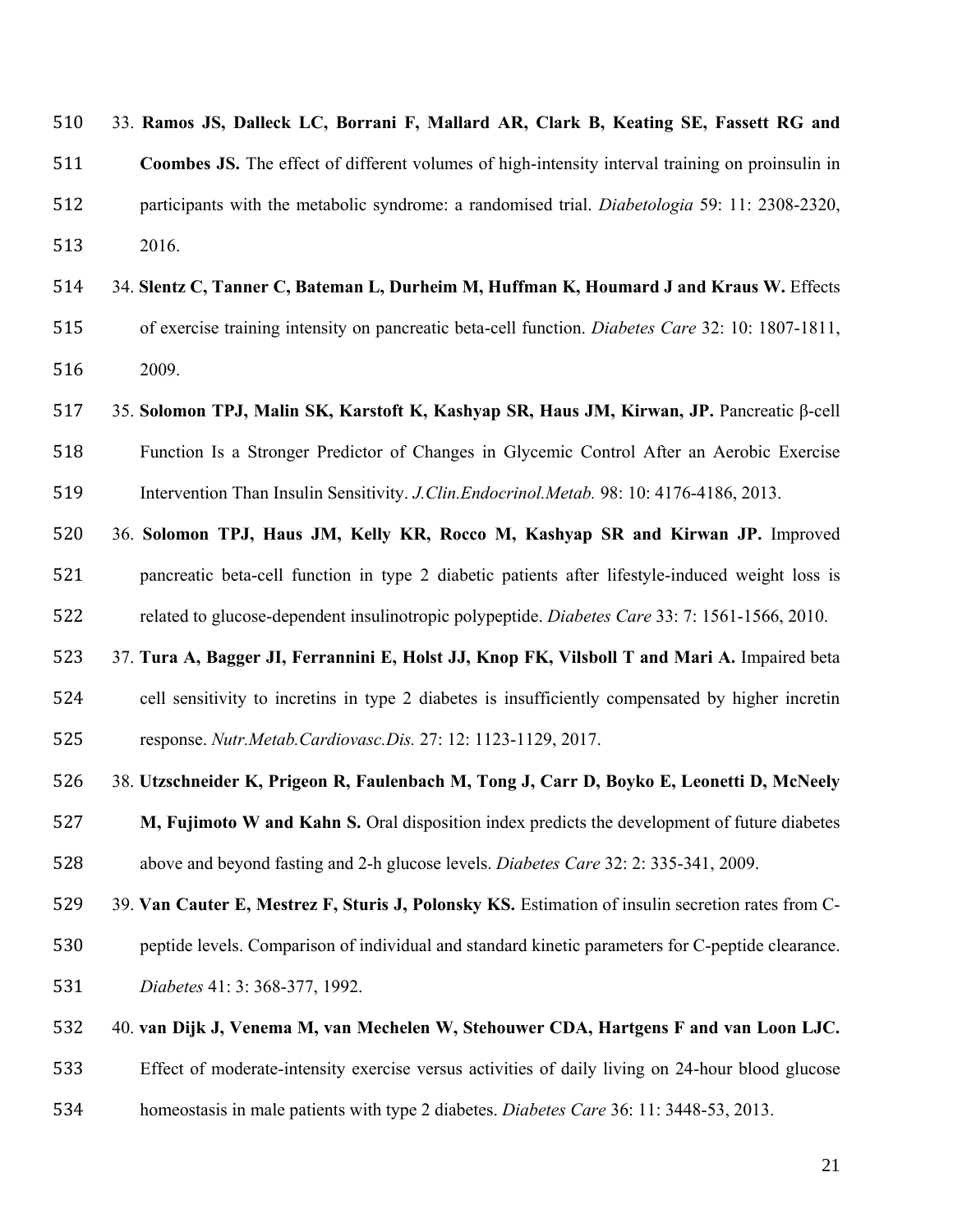| 510 | 33. Ramos JS, Dalleck LC, Borrani F, Mallard AR, Clark B, Keating SE, Fassett RG and                 |
|-----|------------------------------------------------------------------------------------------------------|
| 511 | Coombes JS. The effect of different volumes of high-intensity interval training on proinsulin in     |
| 512 | participants with the metabolic syndrome: a randomised trial. <i>Diabetologia</i> 59: 11: 2308-2320, |
| 513 | 2016.                                                                                                |
| 514 | 34. Slentz C, Tanner C, Bateman L, Durheim M, Huffman K, Houmard J and Kraus W. Effects              |
| 515 | of exercise training intensity on pancreatic beta-cell function. Diabetes Care 32: 10: 1807-1811,    |
| 516 | 2009.                                                                                                |
| 517 | 35. Solomon TPJ, Malin SK, Karstoft K, Kashyap SR, Haus JM, Kirwan, JP. Pancreatic β-cell            |
| 518 | Function Is a Stronger Predictor of Changes in Glycemic Control After an Aerobic Exercise            |
| 519 | Intervention Than Insulin Sensitivity. J. Clin. Endocrinol. Metab. 98: 10: 4176-4186, 2013.          |
| 520 | 36. Solomon TPJ, Haus JM, Kelly KR, Rocco M, Kashyap SR and Kirwan JP. Improved                      |
| 521 | pancreatic beta-cell function in type 2 diabetic patients after lifestyle-induced weight loss is     |
| 522 | related to glucose-dependent insulinotropic polypeptide. Diabetes Care 33: 7: 1561-1566, 2010.       |
| 523 | 37. Tura A, Bagger JI, Ferrannini E, Holst JJ, Knop FK, Vilsboll T and Mari A. Impaired beta         |
| 524 | cell sensitivity to incretins in type 2 diabetes is insufficiently compensated by higher incretin    |
| 525 | response. Nutr.Metab.Cardiovasc.Dis. 27: 12: 1123-1129, 2017.                                        |
| 526 | 38. Utzschneider K, Prigeon R, Faulenbach M, Tong J, Carr D, Boyko E, Leonetti D, McNeely            |
| 527 | M, Fujimoto W and Kahn S. Oral disposition index predicts the development of future diabetes         |
| 528 | above and beyond fasting and 2-h glucose levels. Diabetes Care 32: 2: 335-341, 2009.                 |
| 529 | 39. Van Cauter E, Mestrez F, Sturis J, Polonsky KS. Estimation of insulin secretion rates from C-    |
| 530 | peptide levels. Comparison of individual and standard kinetic parameters for C-peptide clearance.    |
| 531 | Diabetes 41: 3: 368-377, 1992.                                                                       |
| 532 | 40. van Dijk J, Venema M, van Mechelen W, Stehouwer CDA, Hartgens F and van Loon LJC.                |
| 533 | Effect of moderate-intensity exercise versus activities of daily living on 24-hour blood glucose     |
| 534 | homeostasis in male patients with type 2 diabetes. Diabetes Care 36: 11: 3448-53, 2013.              |
|     |                                                                                                      |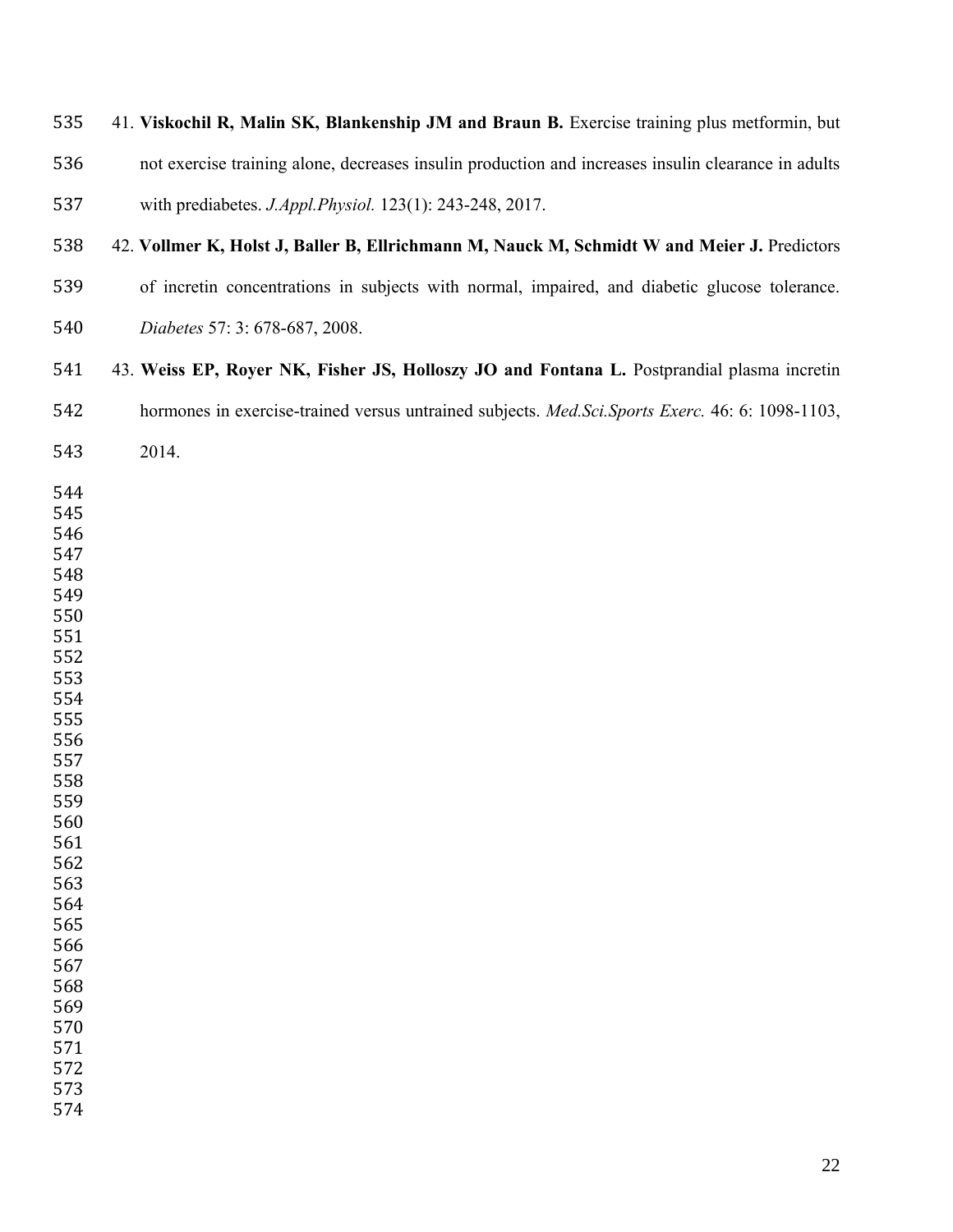# 41. **Viskochil R, Malin SK, Blankenship JM and Braun B.** Exercise training plus metformin, but

not exercise training alone, decreases insulin production and increases insulin clearance in adults

with prediabetes. *J.Appl.Physiol.* 123(1): 243-248, 2017.

- 538 42. Vollmer K, Holst J, Baller B, Ellrichmann M, Nauck M, Schmidt W and Meier J. Predictors
- of incretin concentrations in subjects with normal, impaired, and diabetic glucose tolerance.
- *Diabetes* 57: 3: 678-687, 2008.
- 43. **Weiss EP, Royer NK, Fisher JS, Holloszy JO and Fontana L.** Postprandial plasma incretin hormones in exercise-trained versus untrained subjects. *Med.Sci.Sports Exerc.* 46: 6: 1098-1103,
- 2014.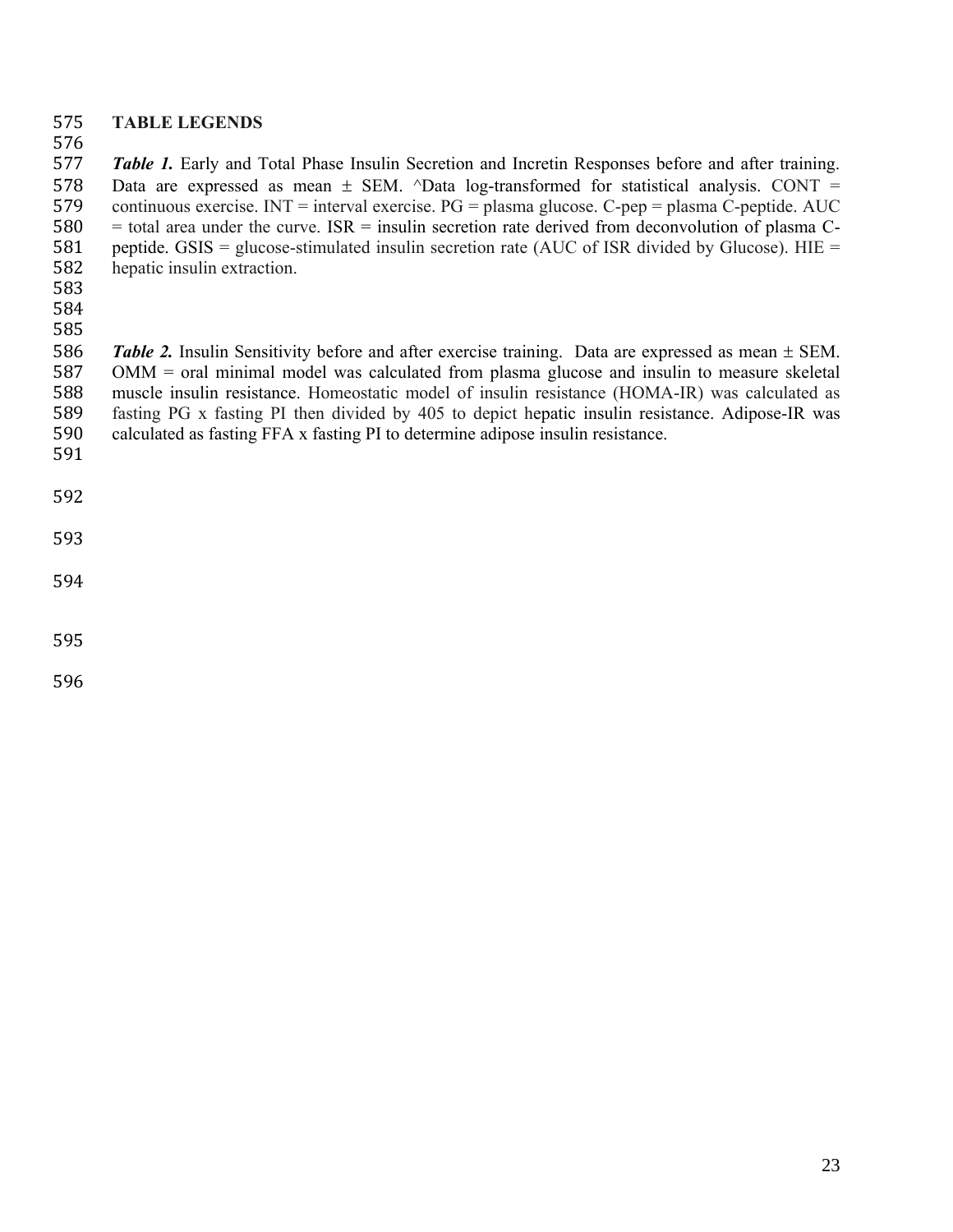## **TABLE LEGENDS**

 *Table 1.* Early and Total Phase Insulin Secretion and Incretin Responses before and after training. 578 Data are expressed as mean  $\pm$  SEM.  $\triangle$ Data log-transformed for statistical analysis. CONT = continuous exercise. INT = interval exercise. PG = plasma glucose. C-pep = plasma C-peptide. AUC = total area under the curve. ISR = insulin secretion rate derived from deconvolution of plasma C-581 peptide. GSIS = glucose-stimulated insulin secretion rate (AUC of ISR divided by Glucose). HIE = hepatic insulin extraction.

*Table 2*. Insulin Sensitivity before and after exercise training. Data are expressed as mean  $\pm$  SEM. OMM = oral minimal model was calculated from plasma glucose and insulin to measure skeletal muscle insulin resistance. Homeostatic model of insulin resistance (HOMA-IR) was calculated as fasting PG x fasting PI then divided by 405 to depict hepatic insulin resistance. Adipose-IR was calculated as fasting FFA x fasting PI to determine adipose insulin resistance.

- 
-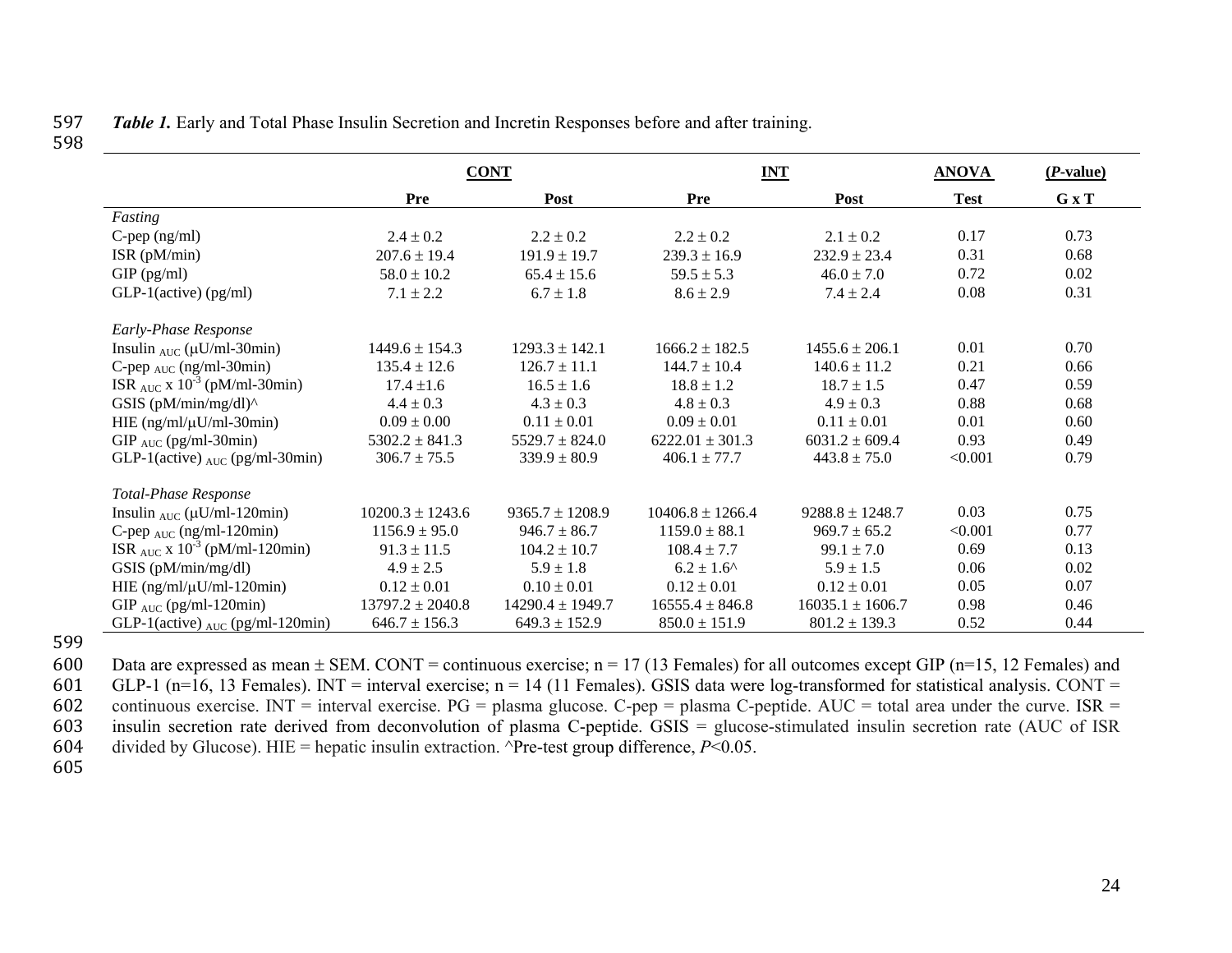#### 597 *Table 1.* Early and Total Phase Insulin Secretion and Incretin Responses before and after training. 598

|                                                |                      | <b>CONT</b>          | <b>INT</b>            |                      | <b>ANOVA</b> | $(P-value)$ |
|------------------------------------------------|----------------------|----------------------|-----------------------|----------------------|--------------|-------------|
|                                                | Pre                  | Post                 | <b>Pre</b>            | Post                 | <b>Test</b>  | G x T       |
| Fasting                                        |                      |                      |                       |                      |              |             |
| $C$ -pep (ng/ml)                               | $2.4 \pm 0.2$        | $2.2 \pm 0.2$        | $2.2 \pm 0.2$         | $2.1 \pm 0.2$        | 0.17         | 0.73        |
| ISR $(pM/min)$                                 | $207.6 \pm 19.4$     | $191.9 \pm 19.7$     | $239.3 \pm 16.9$      | $232.9 \pm 23.4$     | 0.31         | 0.68        |
| $GIP$ (pg/ml)                                  | $58.0 \pm 10.2$      | $65.4 \pm 15.6$      | $59.5 \pm 5.3$        | $46.0 \pm 7.0$       | 0.72         | 0.02        |
| $GLP-1$ (active) (pg/ml)                       | $7.1 \pm 2.2$        | $6.7 \pm 1.8$        | $8.6 \pm 2.9$         | $7.4 \pm 2.4$        | 0.08         | 0.31        |
| Early-Phase Response                           |                      |                      |                       |                      |              |             |
| Insulin $_{AUC}$ ( $\mu$ U/ml-30min)           | $1449.6 \pm 154.3$   | $1293.3 \pm 142.1$   | $1666.2 \pm 182.5$    | $1455.6 \pm 206.1$   | 0.01         | 0.70        |
| C-pep $_{AUC}$ (ng/ml-30min)                   | $135.4 \pm 12.6$     | $126.7 \pm 11.1$     | $144.7 \pm 10.4$      | $140.6 \pm 11.2$     | 0.21         | 0.66        |
| ISR $_{AUC}$ x 10 <sup>-3</sup> (pM/ml-30min)  | $17.4 \pm 1.6$       | $16.5 \pm 1.6$       | $18.8 \pm 1.2$        | $18.7 \pm 1.5$       | 0.47         | 0.59        |
| GSIS $(pM/min/mg/dl)^{\wedge}$                 | $4.4 \pm 0.3$        | $4.3 \pm 0.3$        | $4.8 \pm 0.3$         | $4.9 \pm 0.3$        | 0.88         | 0.68        |
| HIE $(ng/ml/\mu U/ml - 30min)$                 | $0.09 \pm 0.00$      | $0.11 \pm 0.01$      | $0.09 \pm 0.01$       | $0.11 \pm 0.01$      | 0.01         | 0.60        |
| GIP $_{AUC}$ (pg/ml-30min)                     | $5302.2 \pm 841.3$   | $5529.7 \pm 824.0$   | $6222.01 \pm 301.3$   | $6031.2 \pm 609.4$   | 0.93         | 0.49        |
| GLP-1(active) $_{AUC}$ (pg/ml-30min)           | $306.7 \pm 75.5$     | $339.9 \pm 80.9$     | $406.1 \pm 77.7$      | $443.8 \pm 75.0$     | < 0.001      | 0.79        |
| Total-Phase Response                           |                      |                      |                       |                      |              |             |
| Insulin $_{AUC}$ ( $\mu$ U/ml-120min)          | $10200.3 \pm 1243.6$ | $9365.7 \pm 1208.9$  | $10406.8 \pm 1266.4$  | $9288.8 \pm 1248.7$  | 0.03         | 0.75        |
| C-pep $_{AUC}$ (ng/ml-120min)                  | $1156.9 \pm 95.0$    | $946.7 \pm 86.7$     | $1159.0 \pm 88.1$     | $969.7 \pm 65.2$     | < 0.001      | 0.77        |
| ISR $_{AUC}$ x 10 <sup>-3</sup> (pM/ml-120min) | $91.3 \pm 11.5$      | $104.2 \pm 10.7$     | $108.4 \pm 7.7$       | $99.1 \pm 7.0$       | 0.69         | 0.13        |
| GSIS (pM/min/mg/dl)                            | $4.9 \pm 2.5$        | $5.9 \pm 1.8$        | $6.2 \pm 1.6^{\circ}$ | $5.9 \pm 1.5$        | 0.06         | 0.02        |
| HIE $(ng/ml/\mu U/ml - 120min)$                | $0.12 \pm 0.01$      | $0.10 \pm 0.01$      | $0.12 \pm 0.01$       | $0.12 \pm 0.01$      | 0.05         | 0.07        |
| GIP $_{AUC}$ (pg/ml-120min)                    | $13797.2 \pm 2040.8$ | $14290.4 \pm 1949.7$ | $16555.4 \pm 846.8$   | $16035.1 \pm 1606.7$ | 0.98         | 0.46        |
| GLP-1(active) $_{AUC}$ (pg/ml-120min)          | $646.7 \pm 156.3$    | $649.3 \pm 152.9$    | $850.0 \pm 151.9$     | $801.2 \pm 139.3$    | 0.52         | 0.44        |

599

600 Data are expressed as mean  $\pm$  SEM. CONT = continuous exercise; n = 17 (13 Females) for all outcomes except GIP (n=15, 12 Females) and 601 GLP-1 (n=16, 13 Females). INT = interval exercise; n = 14 (11 Females). GSIS data were log-transformed for statistical analysis. CONT = 602 continuous exercise. INT = interval exercise. PG = plasma glucose. C-pep = plasma C-peptide. AUC = total area under the curve. ISR = 603 insulin secretion rate derived from deconvolution of plasma C-peptide. GSIS = glucose-stimulated insulin secretion rate (AUC of ISR 604 divided by Glucose). HIE = hepatic insulin extraction.  $\text{Pre-test}$  group difference, *P*<0.05.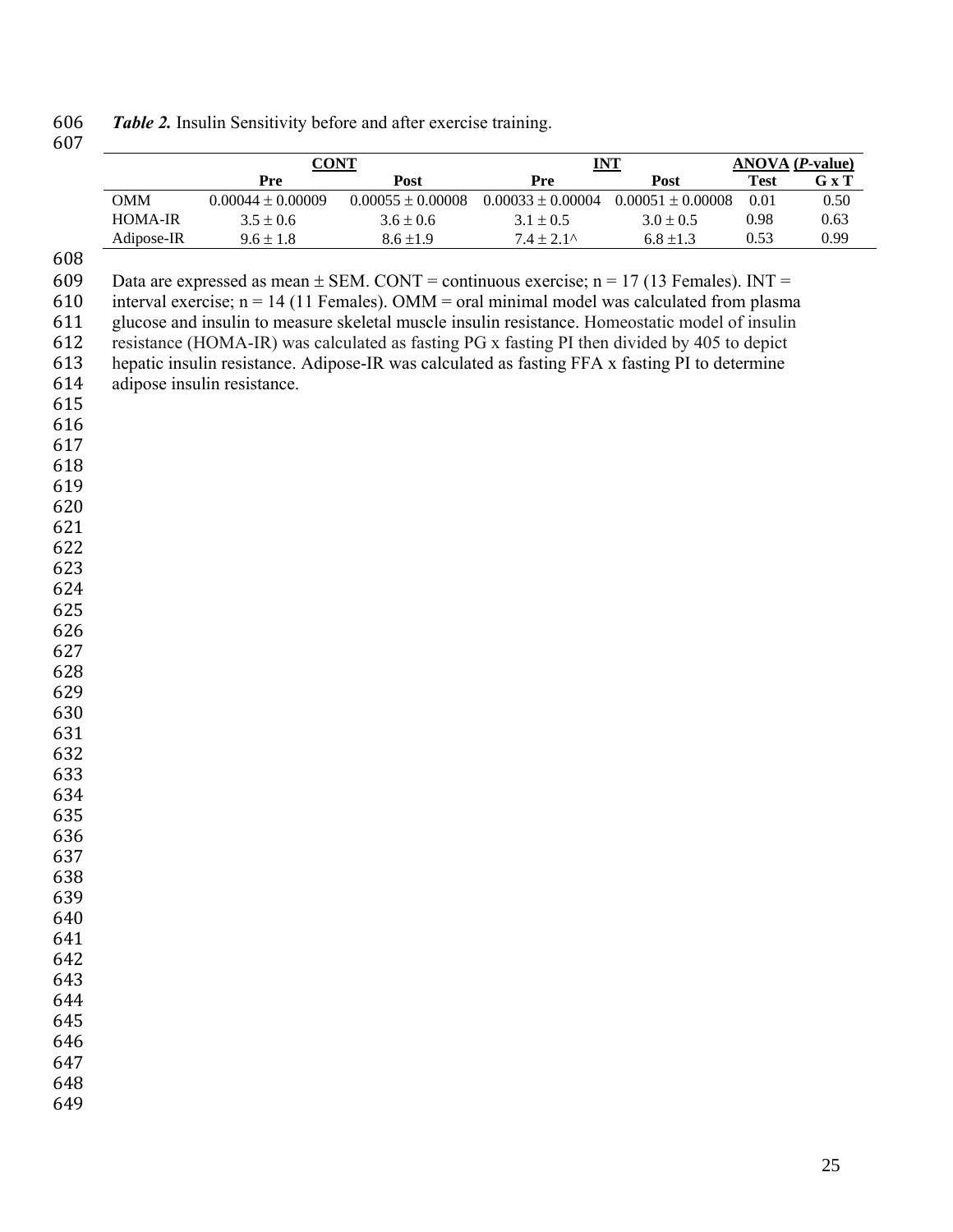| 606 | Table 2. Insulin Sensitivity before and after exercise training. |  |  |  |  |
|-----|------------------------------------------------------------------|--|--|--|--|
|-----|------------------------------------------------------------------|--|--|--|--|

|            | <b>CONT</b>                                                                                     |                       |                       | INT                   | <b>ANOVA</b> ( <i>P</i> -value) |       |
|------------|-------------------------------------------------------------------------------------------------|-----------------------|-----------------------|-----------------------|---------------------------------|-------|
|            | Pre                                                                                             | Post                  | Pre                   | Post                  | <b>Test</b>                     | G x T |
| $OMM$      | $0.00044 \pm 0.00009$                                                                           | $0.00055 \pm 0.00008$ | $0.00033 \pm 0.00004$ | $0.00051 \pm 0.00008$ | 0.01                            | 0.50  |
| HOMA-IR    | $3.5 \pm 0.6$                                                                                   | $3.6 \pm 0.6$         | $3.1 \pm 0.5$         | $3.0 \pm 0.5$         | 0.98                            | 0.63  |
| Adipose-IR | $9.6 \pm 1.8$                                                                                   | $8.6 \pm 1.9$         | $7.4 \pm 2.1^{\circ}$ | $6.8 \pm 1.3$         | 0.53                            | 0.99  |
|            |                                                                                                 |                       |                       |                       |                                 |       |
|            | Data are expressed as mean $\pm$ SEM. CONT = continuous exercise; n = 17 (13 Females). INT =    |                       |                       |                       |                                 |       |
|            | interval exercise; $n = 14$ (11 Females). OMM = oral minimal model was calculated from plasma   |                       |                       |                       |                                 |       |
|            | glucose and insulin to measure skeletal muscle insulin resistance. Homeostatic model of insulin |                       |                       |                       |                                 |       |
|            | resistance (HOMA-IR) was calculated as fasting PG x fasting PI then divided by 405 to depict    |                       |                       |                       |                                 |       |
|            | hepatic insulin resistance. Adipose-IR was calculated as fasting FFA x fasting PI to determine  |                       |                       |                       |                                 |       |
|            | adipose insulin resistance.                                                                     |                       |                       |                       |                                 |       |
|            |                                                                                                 |                       |                       |                       |                                 |       |
|            |                                                                                                 |                       |                       |                       |                                 |       |
|            |                                                                                                 |                       |                       |                       |                                 |       |
|            |                                                                                                 |                       |                       |                       |                                 |       |
|            |                                                                                                 |                       |                       |                       |                                 |       |
|            |                                                                                                 |                       |                       |                       |                                 |       |
|            |                                                                                                 |                       |                       |                       |                                 |       |
|            |                                                                                                 |                       |                       |                       |                                 |       |
|            |                                                                                                 |                       |                       |                       |                                 |       |
|            |                                                                                                 |                       |                       |                       |                                 |       |
|            |                                                                                                 |                       |                       |                       |                                 |       |
|            |                                                                                                 |                       |                       |                       |                                 |       |
|            |                                                                                                 |                       |                       |                       |                                 |       |
|            |                                                                                                 |                       |                       |                       |                                 |       |
|            |                                                                                                 |                       |                       |                       |                                 |       |
|            |                                                                                                 |                       |                       |                       |                                 |       |
|            |                                                                                                 |                       |                       |                       |                                 |       |
|            |                                                                                                 |                       |                       |                       |                                 |       |
|            |                                                                                                 |                       |                       |                       |                                 |       |
|            |                                                                                                 |                       |                       |                       |                                 |       |
|            |                                                                                                 |                       |                       |                       |                                 |       |
|            |                                                                                                 |                       |                       |                       |                                 |       |
|            |                                                                                                 |                       |                       |                       |                                 |       |
|            |                                                                                                 |                       |                       |                       |                                 |       |
|            |                                                                                                 |                       |                       |                       |                                 |       |
|            |                                                                                                 |                       |                       |                       |                                 |       |
|            |                                                                                                 |                       |                       |                       |                                 |       |
|            |                                                                                                 |                       |                       |                       |                                 |       |
|            |                                                                                                 |                       |                       |                       |                                 |       |
|            |                                                                                                 |                       |                       |                       |                                 |       |
|            |                                                                                                 |                       |                       |                       |                                 |       |
|            |                                                                                                 |                       |                       |                       |                                 |       |
|            |                                                                                                 |                       |                       |                       |                                 |       |
|            |                                                                                                 |                       |                       |                       |                                 |       |
|            |                                                                                                 |                       |                       |                       |                                 |       |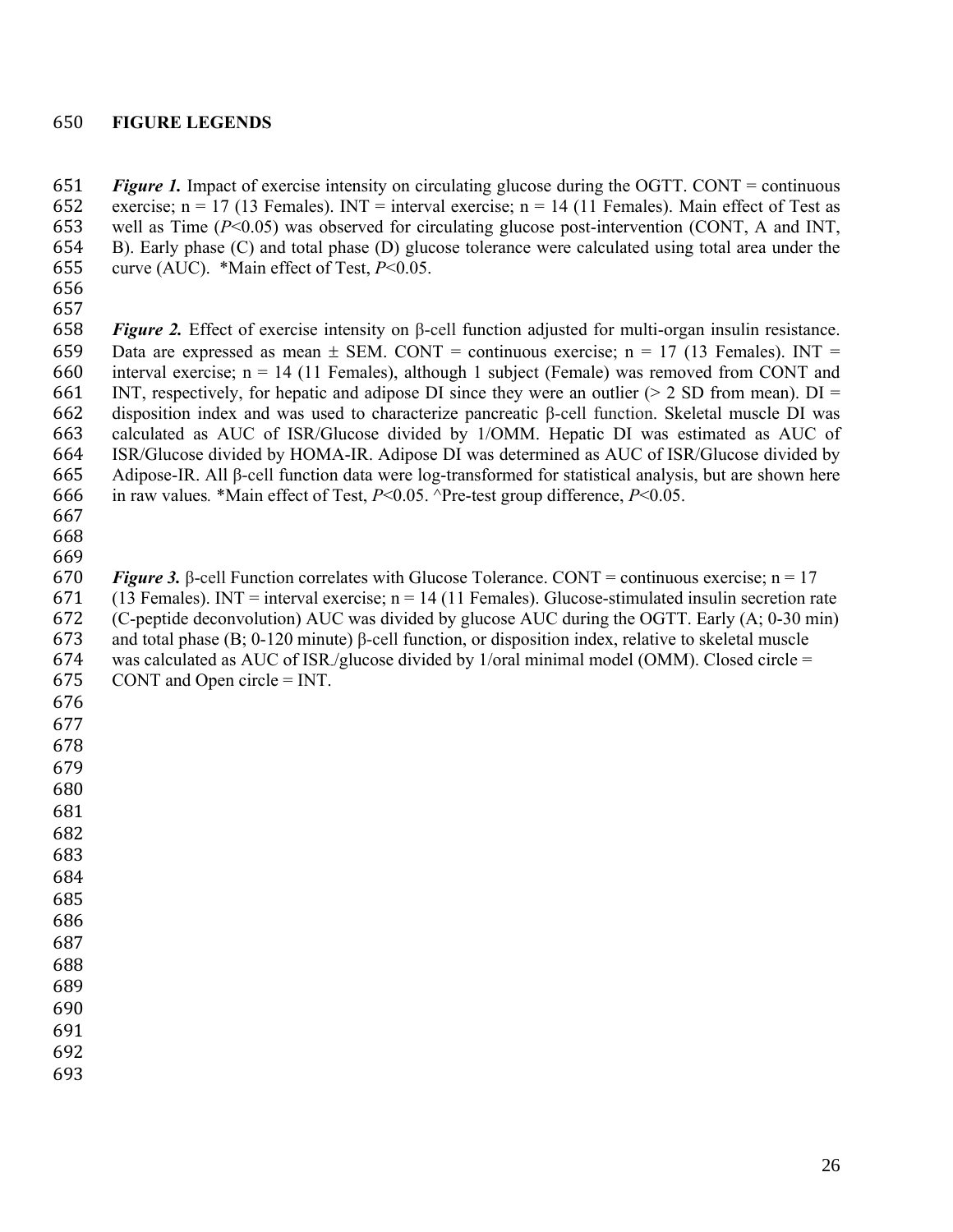#### **FIGURE LEGENDS**

 *Figure 1.* Impact of exercise intensity on circulating glucose during the OGTT. CONT = continuous 652 exercise; n = 17 (13 Females). INT = interval exercise; n = 14 (11 Females). Main effect of Test as well as Time (*P*<0.05) was observed for circulating glucose post-intervention (CONT, A and INT, B). Early phase (C) and total phase (D) glucose tolerance were calculated using total area under the curve (AUC). \*Main effect of Test, *P*<0.05.

 

 *Figure 2.* Effect of exercise intensity on β-cell function adjusted for multi-organ insulin resistance. 659 Data are expressed as mean  $\pm$  SEM. CONT = continuous exercise; n = 17 (13 Females). INT = 660 interval exercise;  $n = 14$  (11 Females), although 1 subject (Female) was removed from CONT and 661 INT, respectively, for hepatic and adipose DI since they were an outlier ( $> 2$  SD from mean). DI = disposition index and was used to characterize pancreatic β-cell function. Skeletal muscle DI was calculated as AUC of ISR/Glucose divided by 1/OMM. Hepatic DI was estimated as AUC of ISR/Glucose divided by HOMA-IR. Adipose DI was determined as AUC of ISR/Glucose divided by Adipose-IR. All β-cell function data were log-transformed for statistical analysis, but are shown here in raw values*.* \*Main effect of Test, *P*<0.05. ^Pre-test group difference, *P*<0.05.

 

*Figure 3.* B-cell Function correlates with Glucose Tolerance. CONT = continuous exercise;  $n = 17$ 671 (13 Females). INT = interval exercise;  $n = 14$  (11 Females). Glucose-stimulated insulin secretion rate (C-peptide deconvolution) AUC was divided by glucose AUC during the OGTT. Early (A; 0-30 min) and total phase (B; 0-120 minute) β-cell function, or disposition index, relative to skeletal muscle was calculated as AUC of ISR-/glucose divided by 1/oral minimal model (OMM). Closed circle = CONT and Open circle = INT.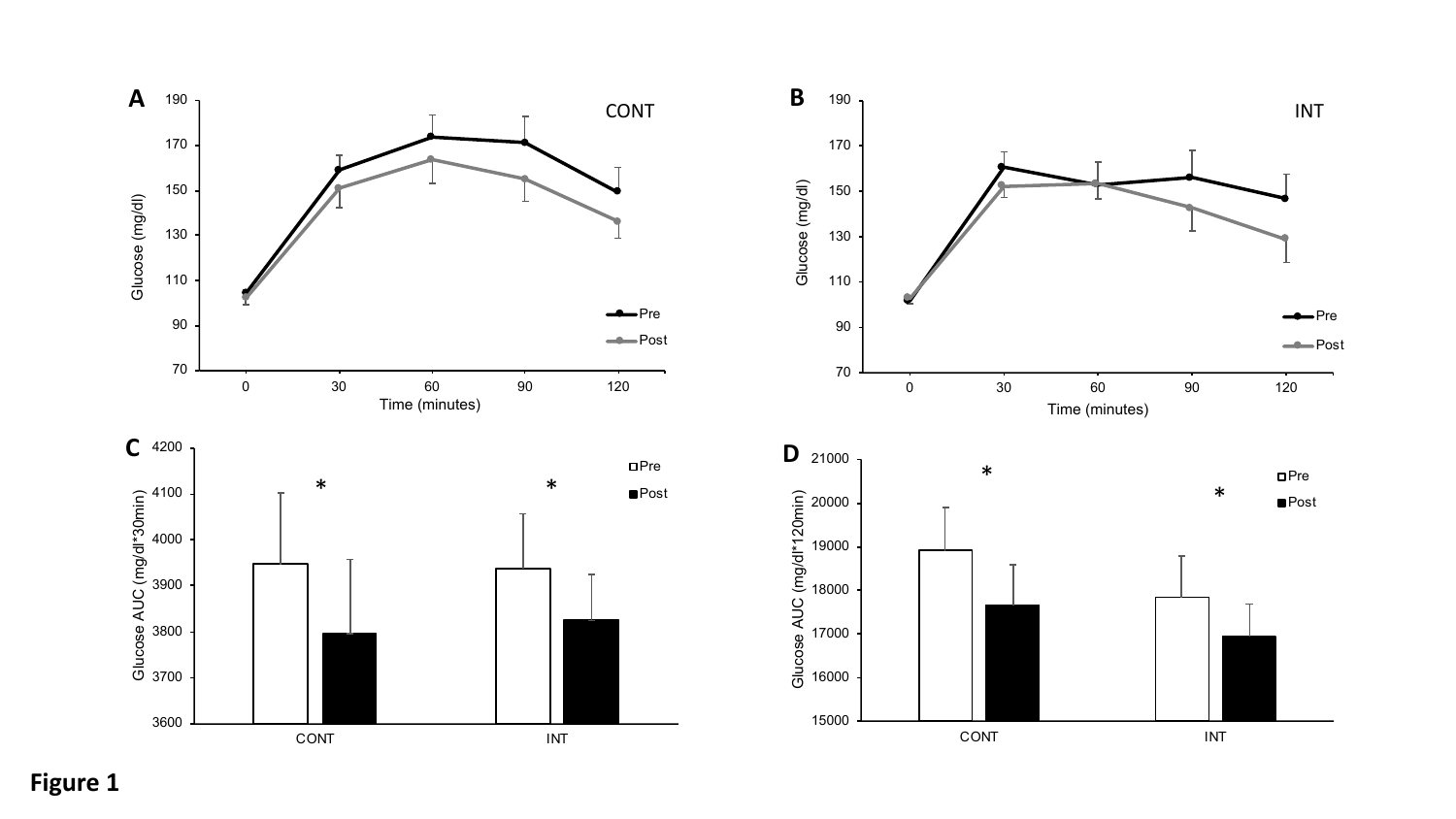



**Figure 1**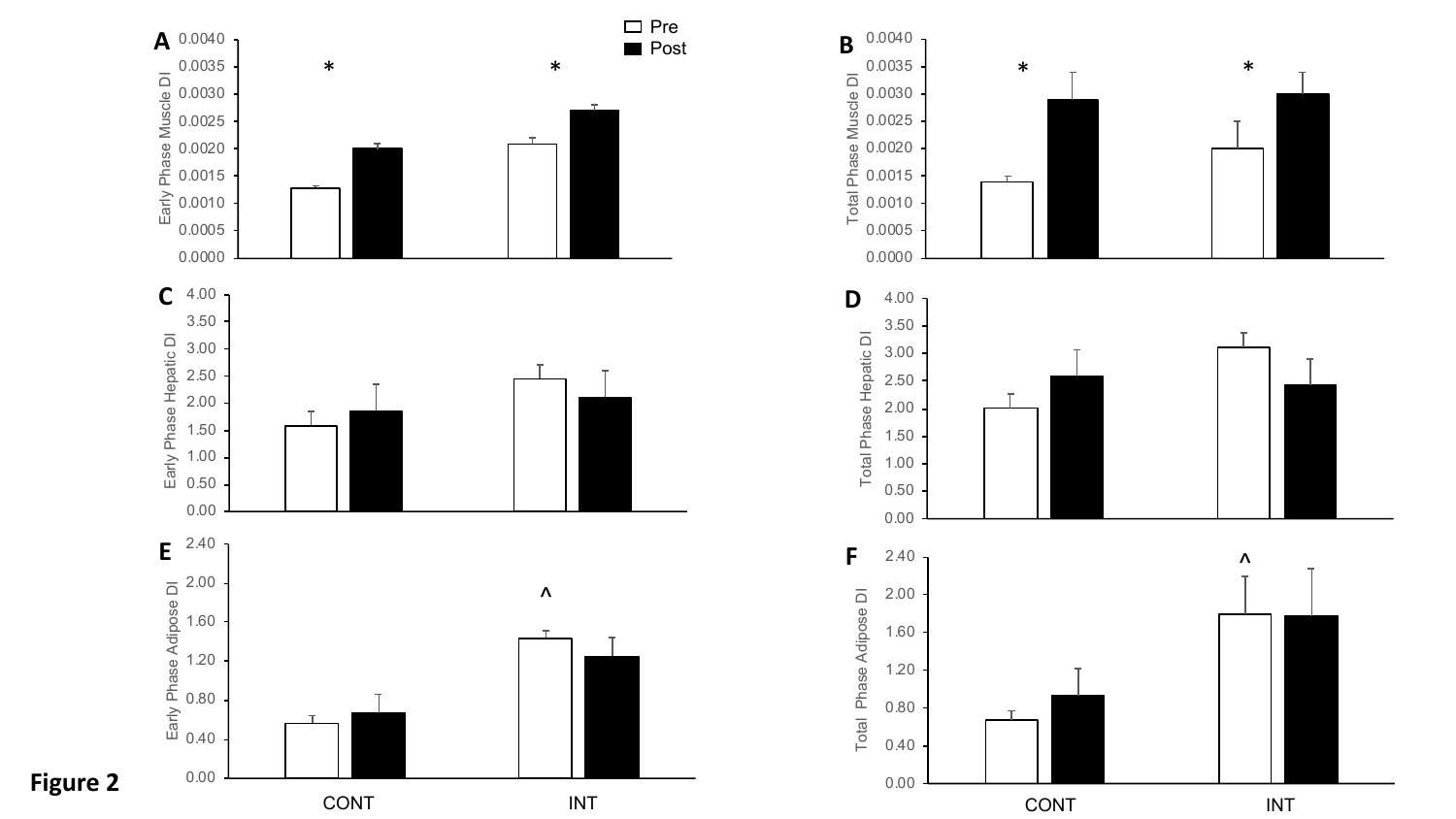